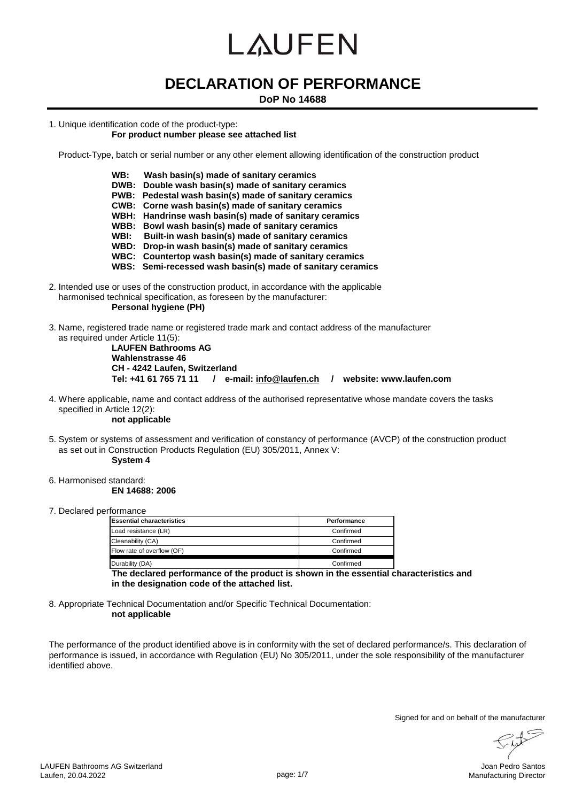## **DECLARATION OF PERFORMANCE**

#### **DoP No 14688**

1. Unique identification code of the product-type:

#### **For product number please see attached list**

Product-Type, batch or serial number or any other element allowing identification of the construction product

- **WB: Wash basin(s) made of sanitary ceramics**
- **DWB: Double wash basin(s) made of sanitary ceramics**
- **PWB: Pedestal wash basin(s) made of sanitary ceramics**
- **CWB: Corne wash basin(s) made of sanitary ceramics**
- **WBH: Handrinse wash basin(s) made of sanitary ceramics**
- **WBB: Bowl wash basin(s) made of sanitary ceramics**
- **WBI: Built-in wash basin(s) made of sanitary ceramics**
- **WBD: Drop-in wash basin(s) made of sanitary ceramics**
- **WBC: Countertop wash basin(s) made of sanitary ceramics**
- **WBS: Semi-recessed wash basin(s) made of sanitary ceramics**
- 2. Intended use or uses of the construction product, in accordance with the applicable harmonised technical specification, as foreseen by the manufacturer: **Personal hygiene (PH)**
- 3. Name, registered trade name or registered trade mark and contact address of the manufacturer as required under Article 11(5):

**LAUFEN Bathrooms AG Wahlenstrasse 46 CH - 4242 Laufen, Switzerland Tel: +41 61 765 71 11 / e-mail: info@laufen.ch / website: www.laufen.com**

4. Where applicable, name and contact address of the authorised representative whose mandate covers the tasks specified in Article 12(2):

**not applicable**

5. System or systems of assessment and verification of constancy of performance (AVCP) of the construction product as set out in Construction Products Regulation (EU) 305/2011, Annex V:

**System 4**

6. Harmonised standard:

**EN 14688: 2006**

7. Declared performance

| <b>Essential characteristics</b> | <b>Performance</b> |
|----------------------------------|--------------------|
| Load resistance (LR)             | Confirmed          |
| Cleanability (CA)                | Confirmed          |
| Flow rate of overflow (OF)       | Confirmed          |
| Durability (DA)                  | Confirmed          |

**The declared performance of the product is shown in the essential characteristics and in the designation code of the attached list.**

8. Appropriate Technical Documentation and/or Specific Technical Documentation: **not applicable**

The performance of the product identified above is in conformity with the set of declared performance/s. This declaration of performance is issued, in accordance with Regulation (EU) No 305/2011, under the sole responsibility of the manufacturer identified above.

Signed for and on behalf of the manufacturer<br> $\left(\begin{array}{ccc} \overbrace{1} & \overbrace{2} & \overbrace{3} & \overbrace{3} \\ \overbrace{1} & \overbrace{3} & \overbrace{3} & \overbrace{3} \\ \overbrace{1} & \overbrace{3} & \overbrace{3} & \overbrace{3} \\ \overbrace{1} & \overbrace{3} & \overbrace{3} & \overbrace{3} \\ \overbrace{1} & \overbrace{3} & \overbrace{3} & \overbrace{3} \\ \overbrace{1} & \overbrace{3} & \overbrace{3} & \overbrace{3$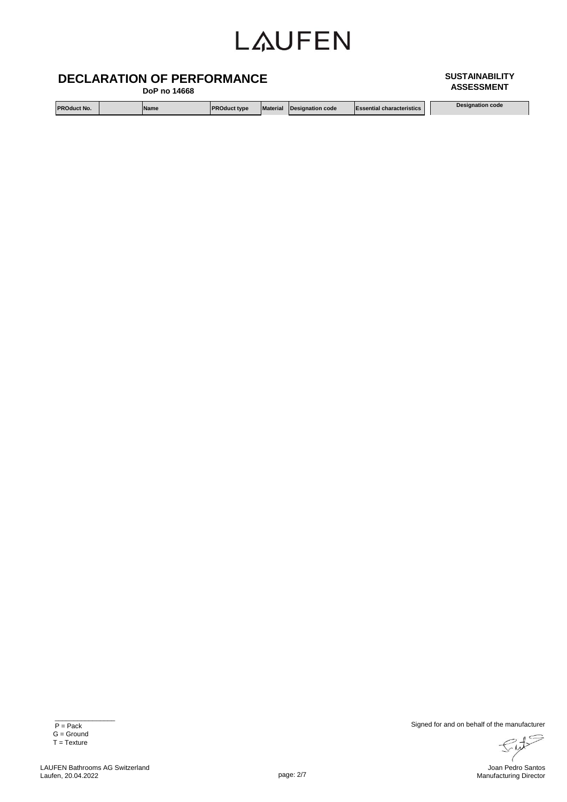### **DECLARATION OF PERFORMANCE**

 **DoP no 14668**

**PROduct No. Name PROduct type Material Designation code Essential characteristics Designation code**

**ASSESSMENT**

**SUSTAINABILITY** 

 $\frac{1}{\sqrt{2}}$  ,  $\frac{1}{\sqrt{2}}$  ,  $\frac{1}{\sqrt{2}}$  ,  $\frac{1}{\sqrt{2}}$  ,  $\frac{1}{\sqrt{2}}$  ,  $\frac{1}{\sqrt{2}}$  ,  $\frac{1}{\sqrt{2}}$  ,  $\frac{1}{\sqrt{2}}$  ,  $\frac{1}{\sqrt{2}}$  ,  $\frac{1}{\sqrt{2}}$  ,  $\frac{1}{\sqrt{2}}$  ,  $\frac{1}{\sqrt{2}}$  ,  $\frac{1}{\sqrt{2}}$  ,  $\frac{1}{\sqrt{2}}$  ,  $\frac{1}{\sqrt{2}}$ 

P = Pack G = Ground  $T = T$ exture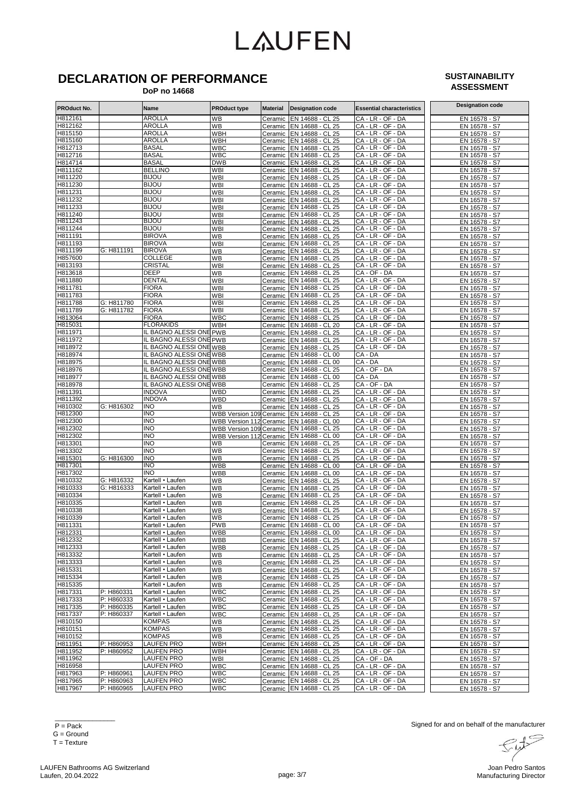## **DECLARATION OF PERFORMANCE**

#### **SUSTAINABILITY ASSESSMENT**

 **DoP no 14668**

| PROduct No.        |                          | Name                                 | <b>PROduct type</b>            | <b>Material</b> | <b>Designation code</b>                              | <b>Essential characteristics</b>       | <b>Designation code</b>        |
|--------------------|--------------------------|--------------------------------------|--------------------------------|-----------------|------------------------------------------------------|----------------------------------------|--------------------------------|
| H812161            |                          | <b>AROLLA</b>                        | WВ                             | Ceramic         | EN 14688 - CL 25                                     | CA - LR - OF - DA                      | EN 16578 - S7                  |
| H812162            |                          | <b>AROLLA</b>                        | WB                             |                 | Ceramic EN 14688 - CL 25                             | CA - LR - OF - DA                      | EN 16578 - S7                  |
| H815150            |                          | <b>AROLLA</b>                        | WBH                            |                 | Ceramic EN 14688 - CL 25                             | CA - LR - OF - DA                      | EN 16578 - S7                  |
| H815160            |                          | <b>AROLLA</b>                        | WBH                            |                 | Ceramic EN 14688 - CL 25                             | CA - LR - OF - DA                      | EN 16578 - S7                  |
| H812713<br>H812716 |                          | <b>BASAL</b><br><b>BASAL</b>         | <b>WBC</b>                     |                 | Ceramic EN 14688 - CL 25                             | CA - LR - OF - DA<br>CA - LR - OF - DA | EN 16578 - S7                  |
| H814714            |                          | <b>BASAL</b>                         | WBC<br><b>DWB</b>              |                 | Ceramic EN 14688 - CL 25<br>Ceramic EN 14688 - CL 25 | CA - LR - OF - DA                      | EN 16578 - S7<br>EN 16578 - S7 |
| H811162            |                          | <b>BELLINO</b>                       | WBI                            |                 | Ceramic EN 14688 - CL 25                             | CA - LR - OF - DA                      | EN 16578 - S7                  |
| H811220            |                          | <b>BIJOU</b>                         | WBI                            |                 | Ceramic EN 14688 - CL 25                             | CA - LR - OF - DA                      | EN 16578 - S7                  |
| H811230            |                          | <b>BIJOU</b>                         | WBI                            |                 | Ceramic EN 14688 - CL 25                             | CA - LR - OF - DA                      | EN 16578 - S7                  |
| H811231            |                          | <b>BIJOU</b>                         | WBI                            |                 | Ceramic EN 14688 - CL 25                             | CA - LR - OF - DA                      | EN 16578 - S7                  |
| H811232            |                          | <b>BIJOU</b>                         | <b>WBI</b>                     |                 | Ceramic EN 14688 - CL 25                             | CA - LR - OF - DA                      | EN 16578 - S7                  |
| H811233            |                          | <b>BIJOU</b>                         | WBI                            | Ceramic         | EN 14688 - CL 25                                     | CA - LR - OF - DA                      | EN 16578 - S7                  |
| H811240            |                          | <b>BIJOU</b>                         | WBI                            | Ceramic         | EN 14688 - CL 25                                     | CA - LR - OF - DA                      | EN 16578 - S7                  |
| H811243            |                          | <b>BIJOU</b>                         | <b>WBI</b>                     | Ceramic         | EN 14688 - CL 25                                     | CA - LR - OF - DA                      | EN 16578 - S7                  |
| H811244            |                          | <b>BIJOU</b>                         | WBI                            | Ceramic         | EN 14688 - CL 25                                     | CA - LR - OF - DA                      | EN 16578 - S7                  |
| H811191            |                          | <b>BIROVA</b>                        | WВ                             |                 | Ceramic EN 14688 - CL 25                             | CA - LR - OF - DA                      | EN 16578 - S7                  |
| H811193            |                          | <b>BIROVA</b>                        | WBI                            |                 | Ceramic EN 14688 - CL 25                             | CA - LR - OF - DA                      | EN 16578 - S7                  |
| H811199            | G: H811191               | <b>BIROVA</b>                        | WB                             |                 | Ceramic EN 14688 - CL 25                             | CA - LR - OF - DA                      | EN 16578 - S7                  |
| H857600            |                          | COLLEGE                              | WВ                             |                 | Ceramic EN 14688 - CL 25                             | CA - LR - OF - DA                      | EN 16578 - S7                  |
| H813193            |                          | CRISTAL                              | WBI                            |                 | Ceramic   EN 14688 - CL 25                           | CA - LR - OF - DA                      | EN 16578 - S7                  |
| H813618<br>H811880 |                          | DEEP<br><b>DENTAL</b>                | WВ<br>WBI                      | Ceramic         | EN 14688 - CL 25                                     | CA - OF - DA<br>CA - LR - OF - DA      | EN 16578 - S7                  |
| H811781            |                          | <b>FIORA</b>                         | <b>WBI</b>                     |                 | Ceramic EN 14688 - CL 25<br>Ceramic EN 14688 - CL 25 | CA - LR - OF - DA                      | EN 16578 - S7<br>EN 16578 - S7 |
| H811783            |                          | <b>FIORA</b>                         | WBI                            | Ceramic         | EN 14688 - CL 25                                     | CA - LR - OF - DA                      | EN 16578 - S7                  |
| H811788            | G: H811780               | <b>FIORA</b>                         | WBI                            | Ceramic         | EN 14688 - CL 25                                     | CA - LR - OF - DA                      | EN 16578 - S7                  |
| H811789            | G: H811782               | <b>FIORA</b>                         | WBI                            | Ceramic         | EN 14688 - CL 25                                     | CA - LR - OF - DA                      | EN 16578 - S7                  |
| H813064            |                          | <b>FIORA</b>                         | <b>WBC</b>                     |                 | Ceramic EN 14688 - CL 25                             | CA - LR - OF - DA                      | EN 16578 - S7                  |
| H815031            |                          | <b>FLORAKIDS</b>                     | <b>WBH</b>                     | Ceramic         | EN 14688 - CL 20                                     | CA - LR - OF - DA                      | EN 16578 - S7                  |
| H811971            |                          | IL BAGNO ALESSI ONE PWB              |                                | Ceramic         | EN 14688 - CL 25                                     | CA - LR - OF - DA                      | EN 16578 - S7                  |
| H811972            |                          | IL BAGNO ALESSI ONE PWB              |                                | Ceramic         | EN 14688 - CL 25                                     | CA - LR - OF - DA                      | EN 16578 - S7                  |
| H818972            |                          | IL BAGNO ALESSI ONEWBB               |                                | Ceramic         | EN 14688 - CL 25                                     | CA - LR - OF - DA                      | EN 16578 - S7                  |
| H818974            |                          | IL BAGNO ALESSI ONEWBB               |                                |                 | Ceramic EN 14688 - CL 00                             | CA - DA                                | EN 16578 - S7                  |
| H818975            |                          | IL BAGNO ALESSI ONEWBB               |                                |                 | Ceramic EN 14688 - CL 00                             | CA - DA                                | EN 16578 - S7                  |
| H818976            |                          | IL BAGNO ALESSI ONEWBB               |                                |                 | Ceramic   EN 14688 - CL 25                           | CA - OF - DA                           | EN 16578 - S7                  |
| H818977            |                          | IL BAGNO ALESSI ONEWBB               |                                |                 | Ceramic EN 14688 - CL 00                             | $CA - DA$                              | EN 16578 - S7                  |
| H818978            |                          | IL BAGNO ALESSI ONEWBB               |                                | Ceramic         | EN 14688 - CL 25                                     | CA - OF - DA                           | EN 16578 - S7                  |
| H811391            |                          | <b>INDOVA</b>                        | WBD                            |                 | Ceramic EN 14688 - CL 25                             | CA - LR - OF - DA                      | EN 16578 - S7                  |
| H811392<br>H810302 | G: H816302               | <b>INDOVA</b><br><b>INO</b>          | WBD<br>WB                      | Ceramic         | EN 14688 - CL 25<br>Ceramic EN 14688 - CL 25         | CA - LR - OF - DA<br>CA - LR - OF - DA | EN 16578 - S7                  |
| H812300            |                          | <b>INO</b>                           | <b>WBB Version 109 Ceramic</b> |                 | EN 14688 - CL 25                                     | CA - LR - OF - DA                      | EN 16578 - S7<br>EN 16578 - S7 |
| H812300            |                          | <b>INO</b>                           | WBB Version 112 Ceramic        |                 | EN 14688 - CL 00                                     | CA - LR - OF - DA                      | EN 16578 - S7                  |
| H812302            |                          | <b>INO</b>                           |                                |                 | WBB Version 109 Ceramic EN 14688 - CL 25             | CA - LR - OF - DA                      | EN 16578 - S7                  |
| H812302            |                          | <b>INO</b>                           |                                |                 | WBB Version 112 Ceramic   EN 14688 - CL 00           | CA - LR - OF - DA                      | EN 16578 - S7                  |
| H813301            |                          | <b>INO</b>                           | WВ                             |                 | Ceramic   EN 14688 - CL 25                           | CA - LR - OF - DA                      | EN 16578 - S7                  |
| H813302            |                          | <b>INO</b>                           | WB                             | Ceramic         | EN 14688 - CL 25                                     | CA - LR - OF - DA                      | EN 16578 - S7                  |
| H815301            | G: H816300               | INO                                  | WВ                             | Ceramic         | EN 14688 - CL 25                                     | CA - LR - OF - DA                      | EN 16578 - S7                  |
| H817301            |                          | <b>INO</b>                           | WBB                            | Ceramic         | EN 14688 - CL 00                                     | CA - LR - OF - DA                      | EN 16578 - S7                  |
| H817302            |                          | <b>INO</b>                           | WBB                            | Ceramic         | EN 14688 - CL 00                                     | CA - LR - OF - DA                      | EN 16578 - S7                  |
| H810332            | G: H816332               | Kartell • Laufen                     | WВ                             |                 | Ceramic EN 14688 - CL 25                             | CA - LR - OF - DA                      | EN 16578 - S7                  |
| H810333            | G: H816333               | Kartell • Laufen                     | WВ                             |                 | Ceramic EN 14688 - CL 25                             | CA - LR - OF - DA                      | EN 16578 - S7                  |
| H810334<br>H810335 |                          | Kartell • Laufen                     | WB                             |                 | Ceramic EN 14688 - CL 25                             | CA - LR - OF - DA                      | EN 16578 - S7                  |
|                    |                          | Kartell • Laufen                     | WB                             | Ceramic         | EN 14688 - CL 25                                     | CA - LR - OF - DA                      | EN 16578 - S7                  |
| H810338<br>H810339 |                          | Kartell • Laufen<br>Kartell • Laufen | WВ<br>WВ                       | Ceramic         | EN 14688 - CL 25<br>Ceramic   EN 14688 - CL 25       | CA - LR - OF - DA<br>CA - LR - OF - DA | EN 16578 - S7<br>EN 16578 - S7 |
| H811331            |                          | Kartell • Laufen                     | <b>PWB</b>                     |                 | Ceramic EN 14688 - CL 00                             | CA - LR - OF - DA                      | EN 16578 - S7                  |
| H812331            |                          | Kartell • Laufen                     | WBB                            |                 | Ceramic EN 14688 - CL 00                             | CA - LR - OF - DA                      | EN 16578 - S7                  |
| H812332            |                          | Kartell • Laufen                     | WBB                            |                 | Ceramic EN 14688 - CL 25                             | CA - LR - OF - DA                      | EN 16578 - S7                  |
| H812333            |                          | Kartell • Laufen                     | WBB                            |                 | Ceramic   EN 14688 - CL 25                           | CA - LR - OF - DA                      | EN 16578 - S7                  |
| H813332            |                          | Kartell • Laufen                     | WВ                             |                 | Ceramic EN 14688 - CL 25                             | CA - LR - OF - DA                      | EN 16578 - S7                  |
| H813333            |                          | Kartell • Laufen                     | WВ                             |                 | Ceramic EN 14688 - CL 25                             | CA - LR - OF - DA                      | EN 16578 - S7                  |
| H815331            |                          | Kartell • Laufen                     | WВ                             |                 | Ceramic EN 14688 - CL 25                             | CA - LR - OF - DA                      | EN 16578 - S7                  |
| H815334            |                          | Kartell • Laufen                     | WВ                             |                 | Ceramic EN 14688 - CL 25                             | CA - LR - OF - DA                      | EN 16578 - S7                  |
| H815335            |                          | Kartell • Laufen                     | WВ                             |                 | Ceramic   EN 14688 - CL 25                           | CA - LR - OF - DA                      | EN 16578 - S7                  |
| H817331            | P: H860331               | Kartell • Laufen                     | <b>WBC</b>                     |                 | Ceramic EN 14688 - CL 25                             | CA - LR - OF - DA                      | EN 16578 - S7                  |
| H817333            | P: H860333               | Kartell • Laufen                     | <b>WBC</b>                     |                 | Ceramic EN 14688 - CL 25                             | CA - LR - OF - DA                      | EN 16578 - S7                  |
| H817335            | P: H860335               | Kartell • Laufen                     | <b>WBC</b>                     |                 | Ceramic EN 14688 - CL 25                             | CA - LR - OF - DA                      | EN 16578 - S7                  |
| H817337            | P: H860337               | Kartell • Laufen<br><b>KOMPAS</b>    | WBC                            |                 | Ceramic EN 14688 - CL 25                             | CA - LR - OF - DA<br>CA - LR - OF - DA | EN 16578 - S7                  |
| H810150<br>H810151 |                          | <b>KOMPAS</b>                        | WВ<br>WВ                       |                 | Ceramic EN 14688 - CL 25<br>Ceramic EN 14688 - CL 25 | CA - LR - OF - DA                      | EN 16578 - S7                  |
| H810152            |                          | <b>KOMPAS</b>                        | WВ                             |                 | Ceramic   EN 14688 - CL 25                           | CA - LR - OF - DA                      | EN 16578 - S7<br>EN 16578 - S7 |
| H811951            | P: H860953               | <b>LAUFEN PRO</b>                    | WBH                            |                 | Ceramic EN 14688 - CL 25                             | CA - LR - OF - DA                      | EN 16578 - S7                  |
| H811952            | P: H860952               | <b>LAUFEN PRO</b>                    | WBH                            |                 | Ceramic EN 14688 - CL 25                             | CA - LR - OF - DA                      | EN 16578 - S7                  |
| H811962            |                          | <b>LAUFEN PRO</b>                    | WBI                            |                 | Ceramic EN 14688 - CL 25                             | CA - OF - DA                           | EN 16578 - S7                  |
| H816958            |                          | <b>LAUFEN PRO</b>                    | WBC                            |                 | Ceramic   EN 14688 - CL 25                           | $CA$ - $LR$ - $OF$ - $\overline{DA}$   | EN 16578 - S7                  |
| H817963            | $\overline{P}$ : H860961 | LAUFEN PRO                           | WBC                            | Ceramic         | EN 14688 - CL 25                                     | CA - LR - OF - DA                      | EN 16578 - S7                  |
| H817965            | P: H860963               | <b>LAUFEN PRO</b>                    | WBC                            | Ceramic         | EN 14688 - CL 25                                     | CA - LR - OF - DA                      | EN 16578 - S7                  |
| H817967            | P: H860965               | <b>LAUFEN PRO</b>                    | <b>WBC</b>                     |                 | Ceramic EN 14688 - CL 25                             | CA - LR - OF - DA                      | EN 16578 - S7                  |

Sut  $\overline{\prime}$ Joan Pedro Santos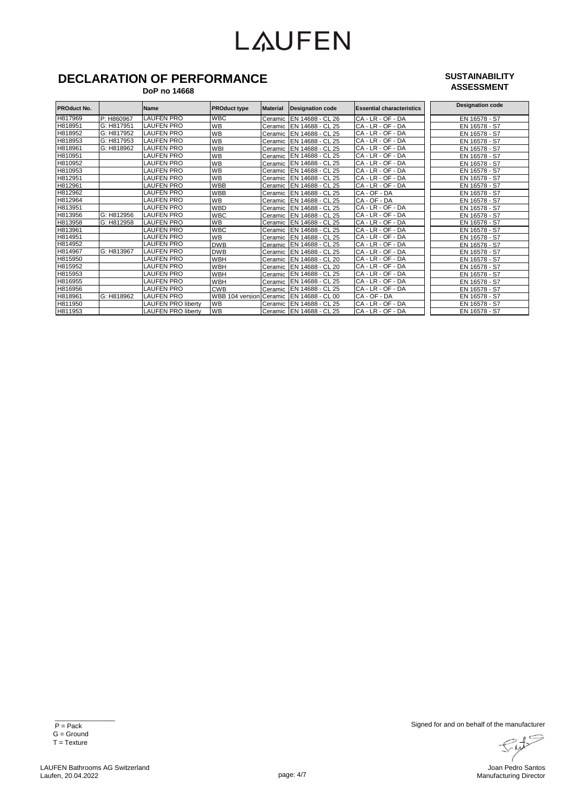### **DECLARATION OF PERFORMANCE**

#### **DoP no 14668**

#### **SUSTAINABILITY ASSESSMENT**

| <b>PROduct No.</b> |            | <b>Name</b>               | <b>PROduct type</b>     | <b>Material</b> | Designation code           | <b>Essential characteristics</b> | <b>Designation code</b> |
|--------------------|------------|---------------------------|-------------------------|-----------------|----------------------------|----------------------------------|-------------------------|
|                    |            |                           |                         |                 |                            |                                  |                         |
| H817969            | P: H860967 | <b>LAUFEN PRO</b>         | <b>WBC</b>              | Ceramic         | EN 14688 - CL 26           | $CA - LR - OF - DA$              | EN 16578 - S7           |
| H818951            | G: H817951 | <b>LAUFEN PRO</b>         | <b>WB</b>               | Ceramic         | EN 14688 - CL 25           | CA - LR - OF - DA                | EN 16578 - S7           |
| H818952            | G: H817952 | <b>LAUFEN PRO</b>         | <b>WB</b>               | Ceramic         | EN 14688 - CL 25           | $CA - LR - OF - DA$              | EN 16578 - S7           |
| H818953            | G: H817953 | <b>LAUFEN PRO</b>         | <b>WB</b>               | Ceramic         | EN 14688 - CL 25           | $CA$ - $LR$ - $OF$ - $DA$        | EN 16578 - S7           |
| H818961            | G: H818962 | <b>LAUFEN PRO</b>         | <b>WBI</b>              | Ceramic         | - CL 25<br><b>EN 14688</b> | $CA$ - $LR$ - $OF$<br>$-DA$      | EN 16578 - S7           |
| H810951            |            | <b>LAUFEN PRO</b>         | <b>WB</b>               | Ceramic         | EN 14688 - CL 25           | CA - LR - OF - DA                | EN 16578 - S7           |
| H810952            |            | <b>LAUFEN PRO</b>         | <b>WB</b>               | Ceramic         | <b>EN 14688</b><br>$-CL25$ | CA - LR - OF<br>$-DA$            | EN 16578 - S7           |
| H810953            |            | <b>LAUFEN PRO</b>         | <b>WB</b>               | Ceramic         | EN 14688 - CL 25           | CA - LR - OF - DA                | EN 16578 - S7           |
| H812951            |            | <b>LAUFEN PRO</b>         | <b>WB</b>               | Ceramic         | EN 14688 - CL 25           | $CA$ - $LR$ - $OF$<br>$-DA$      | EN 16578 - S7           |
| H812961            |            | LAUFEN PRO                | <b>WBB</b>              | Ceramic         | EN 14688 - CL 25           | CA - LR - OF<br>- DA             | EN 16578 - S7           |
| H812962            |            | <b>LAUFEN PRO</b>         | <b>WBB</b>              | Ceramic         | <b>IEN 14688</b><br>CL 25  | CA - OF - DA                     | EN 16578 - S7           |
| H812964            |            | <b>LAUFEN PRO</b>         | <b>WB</b>               | Ceramic         | EN 14688 - CL 25           | CA - OF - DA                     | EN 16578 - S7           |
| H813951            |            | <b>LAUFEN PRO</b>         | <b>WBD</b>              | Ceramic         | EN 14688 - CL 25           | CA - LR - OF - DA                | EN 16578 - S7           |
| H813956            | G: H812956 | <b>LAUFEN PRO</b>         | <b>WBC</b>              |                 | Ceramic EN 14688 - CL 25   | $CA - LR - OF$<br>$-DA$          | EN 16578 - S7           |
| H813958            | G: H812958 | <b>LAUFEN PRO</b>         | <b>WB</b>               |                 | Ceramic IEN 14688 - CL 25  | CA - LR - OF - DA                | EN 16578 - S7           |
| H813961            |            | LAUFEN PRO                | <b>WBC</b>              |                 | Ceramic EN 14688 - CL 25   | $CA - LR - OF$<br>- DA           | EN 16578 - S7           |
| H814951            |            | <b>LAUFEN PRO</b>         | <b>WB</b>               | Ceramic         | EN 14688 - CL 25           | CA - LR - OF - DA                | EN 16578 - S7           |
| H814952            |            | LAUFEN PRO                | <b>DWB</b>              |                 | Ceramic IEN 14688 - CL 25  | CA - LR - OF - DA                | EN 16578 - S7           |
| H814967            | G: H813967 | <b>LAUFEN PRO</b>         | <b>DWB</b>              |                 | Ceramic EN 14688 - CL 25   | CA - LR - OF - DA                | EN 16578 - S7           |
| H815950            |            | LAUFEN PRO                | WBH                     |                 | Ceramic EN 14688 - CL 20   | CA - LR - OF - DA                | EN 16578 - S7           |
| H815952            |            | <b>LAUFEN PRO</b>         | WBH                     | Ceramic         | EN 14688 - CL 20           | CA - LR - OF - DA                | EN 16578 - S7           |
| H815953            |            | <b>LAUFEN PRO</b>         | WBH                     |                 | Ceramic IEN 14688 - CL 25  | CA - LR - OF - DA                | EN 16578 - S7           |
| H816955            |            | <b>LAUFEN PRO</b>         | WBH                     | Ceramic         | EN 14688 - CL 25           | CA - LR - OF - DA                | EN 16578 - S7           |
| H816956            |            | <b>LAUFEN PRO</b>         | <b>CWB</b>              | Ceramic         | EN 14688<br>CL25           | CA - LR - OF - DA                | EN 16578 - S7           |
| H818961            | G: H818962 | <b>LAUFEN PRO</b>         | WBB 104 version Ceramic |                 | EN 14688 - CL 00           | CA - OF - DA                     | EN 16578 - S7           |
| H811950            |            | <b>LAUFEN PRO liberty</b> | <b>WB</b>               | Ceramic         | EN 14688 - CL 25           | CA - LR - OF - DA                | EN 16578 - S7           |
| H811953            |            | <b>LAUFEN PRO liberty</b> | <b>WB</b>               |                 | Ceramic   EN 14688 - CL 25 | CA - LR - OF - DA                | EN 16578 - S7           |

Sut  $\overline{\prime}$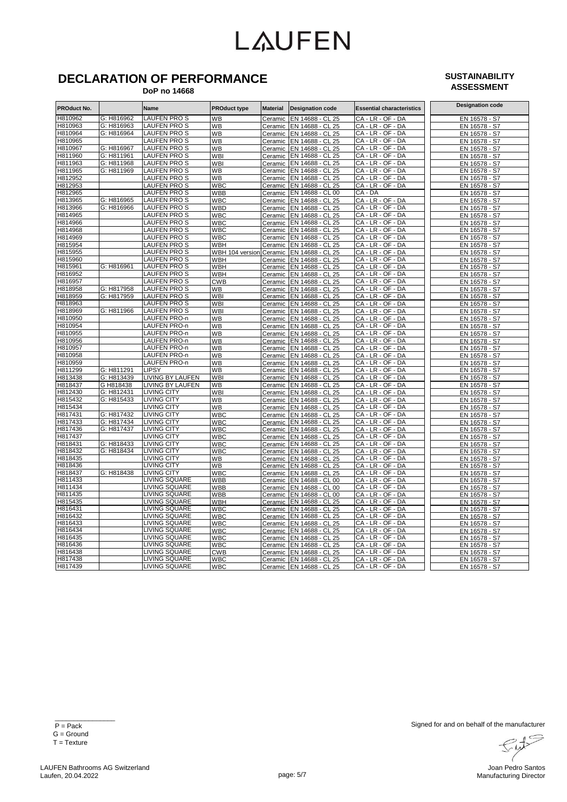### **DECLARATION OF PERFORMANCE**

#### **DoP no 14668**

#### **SUSTAINABILITY ASSESSMENT**

| <b>PROduct No.</b> |            | Name                                | <b>PROduct type</b> | <b>Material</b>    | <b>Designation code</b>              | <b>Essential characteristics</b>       | <b>Designation code</b>        |
|--------------------|------------|-------------------------------------|---------------------|--------------------|--------------------------------------|----------------------------------------|--------------------------------|
| H810962            | G: H816962 | LAUFEN PRO S                        | <b>WB</b>           | Ceramic            | EN 14688 - CL 25                     | CA - LR - OF - DA                      | EN 16578 - S7                  |
| H810963            | G: H816963 | LAUFEN PRO S                        | <b>WB</b>           | Ceramic            | EN 14688 - CL 25                     | CA - LR - OF - DA                      | EN 16578 - S7                  |
| H810964            | G: H816964 | LAUFEN PRO S                        | WB                  | Ceramic            | EN 14688 - CL 25                     | CA - LR - OF - DA                      | EN 16578 - S7                  |
| H810965            |            | LAUFEN PRO S                        | <b>WB</b>           | Ceramic            | EN 14688 - CL 25                     | CA - LR - OF - DA                      | EN 16578 - S7                  |
| H810967            | G: H816967 | LAUFEN PRO S                        | WB                  | Ceramic            | EN 14688 - CL 25                     | CA - LR - OF - DA                      | EN 16578 - S7                  |
| H811960            | G: H811961 | LAUFEN PRO S                        | WBI                 | Ceramic            | EN 14688 - CL 25                     | CA - LR - OF - DA                      | EN 16578 - S7                  |
| H811963            | G: H811968 | <b>LAUFEN PROS</b>                  | <b>WBI</b>          | Ceramic            | EN 14688 - CL 25                     | CA - LR - OF - DA                      | EN 16578 - S7                  |
| H811965            | G: H811969 | LAUFEN PRO S                        | WВ                  | Ceramic            | EN 14688 - CL 25                     | CA - LR - OF - DA                      | EN 16578 - S7                  |
| H812952            |            | LAUFEN PRO S                        | WB                  | Ceramic            | EN 14688 - CL 25                     | CA - LR - OF - DA                      | EN 16578 - S7                  |
| H812953            |            | LAUFEN PRO S                        | <b>WBC</b>          | Ceramic            | EN 14688 - CL 25                     | CA - LR - OF - DA                      | EN 16578 - S7                  |
| H812965            |            | LAUFEN PROS                         | WBB                 | Ceramic            | EN 14688 - CL 00                     | CA - DA                                | EN 16578 - S7                  |
| H813965            | G: H816965 | LAUFEN PRO S                        | WBC                 | Ceramic            | EN 14688 - CL 25                     | CA - LR - OF - DA                      | EN 16578 - S7                  |
| H813966            | G: H816966 | LAUFEN PRO S                        | WBD                 | Ceramic            | EN 14688 - CL 25                     | CA-LR-OF-DA                            | EN 16578 - S7                  |
| H814965            |            | <b>LAUFEN PROS</b>                  | WBC                 | Ceramic            | EN 14688 - CL 25                     | CA - LR - OF - DA                      | EN 16578 - S7                  |
| H814966            |            | LAUFEN PRO S                        | WBC                 | Ceramic            | EN 14688 - CL 25                     | CA - LR - OF - DA                      | EN 16578 - S7                  |
| H814968            |            | LAUFEN PRO S                        | WBC                 | Ceramic            | EN 14688 - CL 25                     | CA - LR - OF - DA                      | EN 16578 - S7                  |
| H814969            |            | LAUFEN PRO S                        | WBC                 | Ceramic            | EN 14688 - CL 25                     | CA - LR - OF - DA                      | EN 16578 - S7                  |
| H815954            |            | LAUFEN PRO S                        | WBH                 | Ceramic            | EN 14688 - CL 25                     | CA - LR - OF - DA                      | EN 16578 - S7                  |
| H815955            |            | LAUFEN PRO S                        | WBH 104 version     | Ceramic            | EN 14688 - CL 25                     | CA - LR - OF - DA                      | EN 16578 - S7                  |
| H815960            |            | LAUFEN PRO S                        | WBH                 | Ceramic            | EN 14688 - CL 25                     | CA - LR - OF - DA                      | EN 16578 - S7                  |
| H815961            | G: H816961 | LAUFEN PRO S                        | WBH                 | Ceramic            | EN 14688 - CL 25                     | CA - LR - OF - DA                      | EN 16578 - S7                  |
| H816952            |            | LAUFEN PRO S                        | WBH                 | Ceramic            | EN 14688 - CL 25                     | CA - LR - OF - DA                      | EN 16578 - S7                  |
| H816957            |            | LAUFEN PRO S                        | <b>CWB</b>          | Ceramic            | EN 14688 - CL 25                     | CA - LR - OF - DA                      | EN 16578 - S7                  |
| H818958            | G: H817958 | LAUFEN PRO S                        | WВ                  | Ceramic            | EN 14688 - CL 25                     | CA - LR - OF - DA                      | EN 16578 - S7                  |
| H818959            | G: H817959 | <b>LAUFEN PROS</b>                  | <b>WBI</b>          | Ceramic            | EN 14688 - CL 25                     | CA - LR - OF - DA                      | EN 16578 - S7                  |
| H818963            |            | LAUFEN PRO S                        | WBI                 | Ceramic            | EN 14688 - CL 25                     | CA - LR - OF - DA                      | EN 16578 - S7                  |
| H818969            | G: H811966 | LAUFEN PRO S                        | <b>WBI</b>          | Ceramic            | EN 14688 - CL 25                     | CA - LR - OF - DA                      | EN 16578 - S7                  |
| H810950            |            | LAUFEN PRO-n                        | WB                  | Ceramic            | EN 14688 - CL 25                     | CA - LR - OF - DA                      | EN 16578 - S7                  |
| H810954            |            | LAUFEN PRO-n                        | WB                  | Ceramic            | EN 14688 - CL 25                     | CA - LR - OF - DA                      | EN 16578 - S7                  |
| H810955            |            | LAUFEN PRO-n                        | WB                  | Ceramic            | EN 14688 - CL 25                     | CA - LR - OF - DA                      | EN 16578 - S7                  |
| H810956            |            | LAUFEN PRO-n                        | WB                  | Ceramic            | EN 14688 - CL 25                     | CA - LR - OF - DA                      | EN 16578 - S7                  |
| H810957            |            | LAUFEN PRO-n                        | WB                  | Ceramic            | EN 14688 - CL 25                     | CA - LR - OF - DA                      | EN 16578 - S7                  |
| H810958            |            | LAUFEN PRO-n<br><b>LAUFEN PRO-n</b> | WB                  | Ceramic            | EN 14688 - CL 25                     | CA - LR - OF - DA                      | EN 16578 - S7                  |
| H810959<br>H811299 | G: H811291 | LIPSY                               | WB<br>WB            | Ceramic            | EN 14688 - CL 25                     | CA - LR - OF - DA<br>CA - LR - OF - DA | EN 16578 - S7                  |
| H813438            | G: H813439 | <b>LIVING BY LAUFEN</b>             | WBI                 | Ceramic            | EN 14688 - CL 25<br>EN 14688 - CL 25 | CA - LR - OF - DA                      | EN 16578 - S7<br>EN 16578 - S7 |
| H818437            | G H818438  | <b>LIVING BY LAUFEN</b>             | WB                  | Ceramic<br>Ceramic | EN 14688 - CL 25                     | CA - LR - OF - DA                      | EN 16578 - S7                  |
| H812430            | G: H812431 | <b>LIVING CITY</b>                  | WBI                 |                    | EN 14688 - CL 25                     | CA - LR - OF - DA                      | EN 16578 - S7                  |
| H815432            | G: H815433 | <b>LIVING CITY</b>                  | WB                  | Ceramic<br>Ceramic | EN 14688 - CL 25                     | CA - LR - OF - DA                      | EN 16578 - S7                  |
| H815434            |            | <b>LIVING CITY</b>                  | WВ                  | Ceramic            | EN 14688 - CL 25                     | CA - LR - OF - DA                      | EN 16578 - S7                  |
| H817431            | G: H817432 | <b>LIVING CITY</b>                  | WBC                 | Ceramic            | EN 14688 - CL 25                     | CA - LR - OF - DA                      | EN 16578 - S7                  |
| H817433            | G: H817434 | <b>LIVING CITY</b>                  | WBC                 | Ceramic            | EN 14688 - CL 25                     | CA - LR - OF - DA                      | EN 16578 - S7                  |
| H817436            | G: H817437 | <b>LIVING CITY</b>                  | <b>WBC</b>          | Ceramic            | EN 14688 - CL 25                     | CA - LR - OF - DA                      | EN 16578 - S7                  |
| H817437            |            | <b>LIVING CITY</b>                  | WBC                 | Ceramic            | EN 14688 - CL 25                     | CA - LR - OF - DA                      | EN 16578 - S7                  |
| H818431            | G: H818433 | <b>LIVING CITY</b>                  | WBC                 | Ceramic            | EN 14688 - CL 25                     | CA - LR - OF - DA                      | EN 16578 - S7                  |
| H818432            | G: H818434 | <b>LIVING CITY</b>                  | WBC                 | Ceramic            | EN 14688 - CL 25                     | CA - LR - OF - DA                      | EN 16578 - S7                  |
| H818435            |            | <b>LIVING CITY</b>                  | WВ                  | Ceramic            | EN 14688 - CL 25                     | CA - LR - OF - DA                      | EN 16578 - S7                  |
| H818436            |            | <b>LIVING CITY</b>                  | WB                  | Ceramic            | EN 14688 - CL 25                     | CA - LR - OF - DA                      | EN 16578 - S7                  |
| H818437            | G: H818438 | <b>LIVING CITY</b>                  | WBC                 | Ceramic            | EN 14688 - CL 25                     | CA-LR-OF-DA                            | EN 16578 - S7                  |
| H811433            |            | <b>LIVING SQUARE</b>                | <b>WBB</b>          | Ceramic            | EN 14688 - CL 00                     | CA - LR - OF - DA                      | EN 16578 - S7                  |
| H811434            |            | <b>LIVING SQUARE</b>                | WBB                 | Ceramic            | EN 14688 - CL 00                     | CA - LR - OF - DA                      | EN 16578 - S7                  |
| H811435            |            | <b>LIVING SQUARE</b>                | WBB                 | Ceramic            | EN 14688 - CL 00                     | CA - LR - OF - DA                      | EN 16578 - S7                  |
| H815435            |            | LIVING SQUARE                       | WBH                 | Ceramic            | EN 14688 - CL 25                     | CA-LR-OF-DA                            | EN 16578 - S7                  |
| H816431            |            | LIVING SQUARE                       | WBC                 | Ceramic            | EN 14688 - CL 25                     | CA - LR - OF - DA                      | EN 16578 - S7                  |
| H816432            |            | LIVING SQUARE                       | WBC                 | Ceramic            | EN 14688 - CL 25                     | CA - LR - OF - DA                      | EN 16578 - S7                  |
| H816433            |            | LIVING SQUARE                       | WBC                 | Ceramic            | EN 14688 - CL 25                     | CA - LR - OF - DA                      | EN 16578 - S7                  |
| H816434            |            | <b>LIVING SQUARE</b>                | WBC                 | Ceramic            | EN 14688 - CL 25                     | CA - LR - OF - DA                      | EN 16578 - S7                  |
| H816435            |            | <b>LIVING SQUARE</b>                | WBC                 | Ceramic            | EN 14688 - CL 25                     | CA - LR - OF - DA                      | EN 16578 - S7                  |
| H816436            |            | <b>LIVING SQUARE</b>                | WBC                 | Ceramic            | EN 14688 - CL 25                     | CA - LR - OF - DA                      | EN 16578 - S7                  |
| H816438            |            | LIVING SQUARE                       | <b>CWB</b>          | Ceramic            | EN 14688 - CL 25                     | CA - LR - OF - DA                      | EN 16578 - S7                  |
| H817438            |            | <b>LIVING SQUARE</b>                | <b>WBC</b>          |                    | Ceramic EN 14688 - CL 25             | CA - LR - OF - DA                      | EN 16578 - S7                  |
| H817439            |            | <b>LIVING SQUARE</b>                | <b>WBC</b>          |                    | Ceramic EN 14688 - CL 25             | CA - LR - OF - DA                      | EN 16578 - S7                  |

 $\frac{1}{\sqrt{2}}$  ,  $\frac{1}{\sqrt{2}}$  ,  $\frac{1}{\sqrt{2}}$  ,  $\frac{1}{\sqrt{2}}$  ,  $\frac{1}{\sqrt{2}}$  ,  $\frac{1}{\sqrt{2}}$  ,  $\frac{1}{\sqrt{2}}$  ,  $\frac{1}{\sqrt{2}}$  ,  $\frac{1}{\sqrt{2}}$  ,  $\frac{1}{\sqrt{2}}$  ,  $\frac{1}{\sqrt{2}}$  ,  $\frac{1}{\sqrt{2}}$  ,  $\frac{1}{\sqrt{2}}$  ,  $\frac{1}{\sqrt{2}}$  ,  $\frac{1}{\sqrt{2}}$  P = Pack  $G =$  Ground T = Texture

Sut  $\overline{\prime}$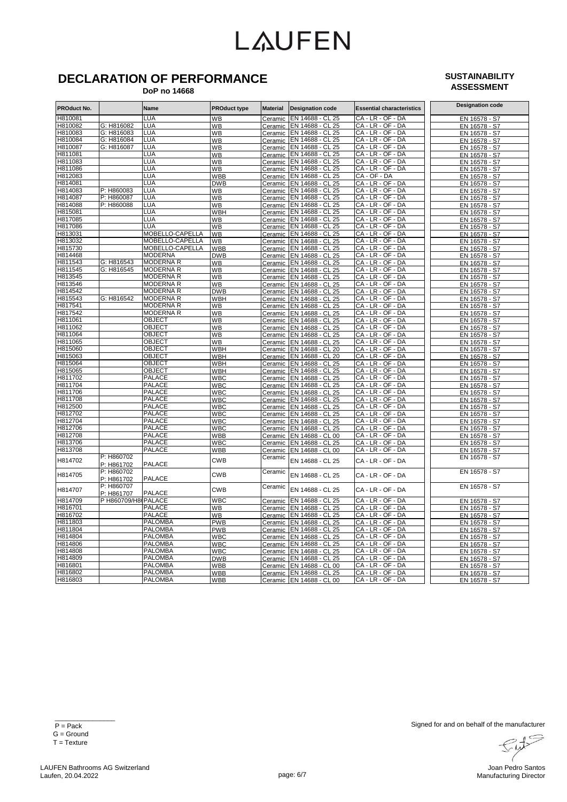## **DECLARATION OF PERFORMANCE**

#### **SUSTAINABILITY ASSESSMENT**

 **DoP no 14668**

| H810081<br>LUA<br>WB<br>EN 14688 - CL 25<br>CA - LR - OF - DA<br>EN 16578 - S7<br>Ceramic<br>H810082<br>G: H816082<br>LUA<br>EN 14688 - CL 25<br>CA - LR - OF - DA<br>WB<br>Ceramic<br>EN 16578 - S7<br>H810083<br><b>LUA</b><br>EN 14688 - CL 25<br>CA - LR - OF - DA<br>G: H816083<br><b>WB</b><br>EN 16578 - S7<br>Ceramic<br>H810084<br>G: H816084<br>LUA<br>EN 14688 - CL 25<br>CA - LR - OF - DA<br>WB<br>Ceramic<br>EN 16578 - S7<br>LUA<br>CA - LR - OF - DA<br>H810087<br>G: H816087<br>EN 14688 - CL 25<br><b>WB</b><br>Ceramic<br>EN 16578 - S7<br>H811081<br>LUA<br>EN 14688 - CL 25<br>CA-LR-OF-DA<br>WB<br>EN 16578 - S7<br>Ceramic<br>LUA<br>CA - LR - OF - DA<br>H811083<br>EN 14688 - CL 25<br>WB<br>EN 16578 - S7<br>Ceramic<br>CA-LR-OF-DA<br>H811086<br>LUA<br>EN 14688 - CL 25<br>WB<br>Ceramic<br>EN 16578 - S7<br>LUA<br>CA - OF - DA<br>H812083<br>EN 14688 - CL 25<br><b>WBB</b><br>Ceramic<br>EN 16578 - S7<br>LUA<br>CA - LR - OF - DA<br>H814081<br><b>DWB</b><br>EN 14688 - CL 25<br>EN 16578 - S7<br>Ceramic<br>H814083<br>P: H860083<br>LUA<br>CA-LR-OF-DA<br>WB<br>EN 14688 - CL 25<br>EN 16578 - S7<br>Ceramic<br>P: H860087<br>LUA<br>CA - LR - OF - DA<br>H814087<br>EN 14688 - CL 25<br>WB<br>EN 16578 - S7<br>Ceramic<br>CA - LR - OF - DA<br>H814088<br>P: H860088<br>LUA<br>WB<br>EN 14688 - CL 25<br>EN 16578 - S7<br>Ceramic<br>H815081<br>LUA<br>EN 14688 - CL 25<br>CA - LR - OF - DA<br><b>WBH</b><br>EN 16578 - S7<br>Ceramic<br>H817085<br>LUA<br>EN 14688 - CL 25<br>CA - LR - OF - DA<br>WB<br>EN 16578 - S7<br>Ceramic<br>LUA<br>CA - LR - OF - DA<br>H817086<br>EN 14688 - CL 25<br><b>WB</b><br>Ceramic<br>EN 16578 - S7<br>MOBELLO-CAPELLA<br>H813031<br>CA - LR - OF - DA<br>WB<br>EN 14688 - CL 25<br>EN 16578 - S7<br>Ceramic<br>CA - LR - OF - DA<br>H813032<br>MOBELLO-CAPELLA<br><b>WB</b><br>EN 14688 - CL 25<br>EN 16578 - S7<br>Ceramic<br>H815730<br>MOBELLO-CAPELLA<br><b>WBB</b><br>EN 14688 - CL 25<br>CA - LR - OF - DA<br>EN 16578 - S7<br>Ceramic<br>H814468<br><b>MODERNA</b><br>CA-LR-OF-DA<br><b>DWB</b><br>EN 14688 - CL 25<br>EN 16578 - S7<br>Ceramic<br><b>MODERNA R</b><br>H811543<br>G: H816543<br>CA - LR - OF - DA<br><b>WB</b><br>EN 14688 - CL 25<br>Ceramic<br>EN 16578 - S7<br>H811545<br>G: H816545<br><b>MODERNA R</b><br>CA - LR - OF - DA<br>WB<br>Ceramic EN 14688 - CL 25<br>EN 16578 - S7<br>H813545<br><b>MODERNAR</b><br>CA - LR - OF - DA<br><b>WB</b><br>Ceramic EN 14688 - CL 25<br>EN 16578 - S7<br>H813546<br><b>MODERNA R</b><br>CA-LR-OF-DA<br>WB<br>EN 14688 - CL 25<br>EN 16578 - S7<br>Ceramic<br>H814542<br><b>MODERNA R</b><br>CA - LR - OF - DA<br><b>DWB</b><br>EN 14688 - CL 25<br>EN 16578 - S7<br>Ceramic<br>G: H816542<br>H815543<br><b>MODERNA R</b><br>CA - LR - OF - DA<br>WBH<br>EN 14688 - CL 25<br>Ceramic<br>EN 16578 - S7<br>H817541<br><b>MODERNA R</b><br>CA - LR - OF - DA<br><b>WB</b><br>EN 14688 - CL 25<br>Ceramic<br>EN 16578 - S7<br>H817542<br><b>MODERNA R</b><br>WB<br>EN 14688 - CL 25<br>CA - LR - OF - DA<br>EN 16578 - S7<br>Ceramic<br>H811061<br><b>OBJECT</b><br>WB<br>CA-LR-OF-DA<br>EN 14688 - CL 25<br>EN 16578 - S7<br>Ceramic<br>OBJECT<br>CA - LR - OF - DA<br>H811062<br><b>WB</b><br>EN 14688 - CL 25<br>EN 16578 - S7<br>Ceramic<br>H811064<br><b>OBJECT</b><br>CA - LR - OF - DA<br><b>WB</b><br>EN 14688 - CL 25<br>Ceramic<br>EN 16578 - S7<br>H811065<br><b>OBJECT</b><br>CA - LR - OF - DA<br><b>WB</b><br>EN 14688 - CL 25<br>EN 16578 - S7<br>Ceramic<br>H815060<br>OBJECT<br>CA - LR - OF - DA<br>WBH<br>EN 14688 - CL 20<br>EN 16578 - S7<br>Ceramic<br>H815063<br><b>OBJECT</b><br>CA - LR - OF - DA<br>EN 14688 - CL 20<br><b>WBH</b><br>EN 16578 - S7<br>Ceramic<br>H815064<br><b>OBJECT</b><br>CA - LR - OF - DA<br>WBH<br>EN 14688 - CL 25<br>EN 16578 - S7<br>Ceramic<br>CA - LR - OF - DA<br>H815065<br>OBJECT<br>WBH<br>EN 14688 - CL 25<br>Ceramic<br>EN 16578 - S7<br>H811702<br><b>PALACE</b><br>WBC<br>EN 14688 - CL 25<br>CA - LR - OF - DA<br>EN 16578 - S7<br>Ceramic<br>H811704<br><b>PALACE</b><br>$-LR - OF - DA$<br>WBC<br>EN 14688 - CL 25<br>СA<br>EN 16578 - S7<br>Ceramic<br>H811706<br><b>PALACE</b><br>CA - LR - OF - DA<br><b>WBC</b><br>EN 14688 - CL 25<br>EN 16578 - S7<br>Ceramic<br>H811708<br><b>PALACE</b><br>CA - LR - OF - DA<br>WBC<br>EN 14688 - CL 25<br>Ceramic<br>EN 16578 - S7<br>H812500<br><b>PALACE</b><br>CA - LR - OF - DA<br><b>WBC</b><br>EN 14688 - CL 25<br>EN 16578 - S7<br>Ceramic<br>H812702<br><b>PALACE</b><br>CA-LR-OF-DA<br>WBC<br>EN 14688 - CL 25<br>EN 16578 - S7<br>Ceramic<br>H812704<br>CA - LR - OF - DA<br><b>PALACE</b><br>EN 14688 - CL 25<br>WBC<br>Ceramic<br>EN 16578 - S7<br>H812706<br><b>PALACE</b><br>CA - LR - OF - DA<br><b>WBC</b><br>EN 14688 - CL 25<br>Ceramic<br>EN 16578 - S7<br>H812708<br><b>PALACE</b><br>CA - LR - OF - DA<br>WBB<br>Ceramic<br>EN 14688 - CL 00<br>EN 16578 - S7<br>H813706<br><b>PALACE</b><br>CA - LR - OF - DA<br>WBC<br>Ceramic<br>EN 14688 - CL 25<br>EN 16578 - S7<br>H813708<br><b>PALACE</b><br>CA - LR - OF - DA<br>WBB<br>EN 16578 - S7<br>EN 14688 - CL 00<br>Ceramic<br>P: H860702<br>EN 16578 - S7<br>Ceramic<br><b>CWB</b><br>H814702<br>EN 14688 - CL 25<br>CA - LR - OF - DA<br><b>PALACE</b><br>P: H861702<br>P: H860702<br>EN 16578 - S7<br>Ceramic<br>H814705<br><b>CWB</b><br>EN 14688 - CL 25<br>CA - LR - OF - DA<br>P: H861702<br><b>PALACE</b><br>P: H860707<br>EN 16578 - S7<br>Ceramic<br>H814707<br><b>CWB</b><br>EN 14688 - CL 25<br>CA - LR - OF - DA<br><b>PALACE</b><br>P: H861707<br>WBC<br>CA - LR - OF - DA<br>H814709<br>P H860709/H8 PALACE<br>EN 14688 - CL 25<br>Ceramic<br>EN 16578 - S7<br>H816701<br><b>PALACE</b><br>WB<br>EN 14688 - CL 25<br>CA - LR - OF - DA<br>EN 16578 - S7<br>Ceramic<br>H816702<br><b>PALACE</b><br>EN 14688 - CL 25<br>CA - LR - OF - DA<br><b>WB</b><br>EN 16578 - S7<br>Ceramic<br>H811803<br><b>PALOMBA</b><br>CA - LR - OF - DA<br><b>PWB</b><br>EN 14688 - CL 25<br>EN 16578 - S7<br>Ceramic<br>H811804<br><b>PALOMBA</b><br>CA - LR - OF - DA<br><b>PWB</b><br>Ceramic<br>EN 14688 - CL 25<br>EN 16578 - S7<br>H814804<br><b>PALOMBA</b><br>WBC<br>CA - LR - OF - DA<br>EN 14688 - CL 25<br>EN 16578 - S7<br>Ceramic<br>H814806<br><b>PALOMBA</b><br>CA - LR - OF - DA<br>WBC<br>EN 14688 - CL 25<br>EN 16578 - S7<br>Ceramic<br>H814808<br><b>PALOMBA</b><br>CA - LR - OF - DA<br><b>WBC</b><br>EN 14688 - CL 25<br>Ceramic<br>EN 16578 - S7<br>H814809<br><b>PALOMBA</b><br>CA - LR - OF - DA<br><b>DWB</b><br>EN 14688 - CL 25<br>Ceramic<br>EN 16578 - S7<br>H816801<br><b>PALOMBA</b><br>WBB<br>EN 14688 - CL 00<br>CA - LR - OF - DA<br>EN 16578 - S7<br>Ceramic<br><b>PALOMBA</b><br>H816802<br><u>WBB</u><br>EN 14688 - CL 25<br>CA - LR - OF - DA<br>EN 16578 - S7<br>Ceramic<br>CA - LR - OF - DA<br>H816803<br><b>PALOMBA</b><br>Ceramic EN 14688 - CL 00<br>WBB<br>EN 16578 - S7 | <b>PROduct No.</b> | Name | <b>PROduct type</b> | <b>Material</b> | <b>Designation code</b> | <b>Essential characteristics</b> | <b>Designation code</b> |
|-----------------------------------------------------------------------------------------------------------------------------------------------------------------------------------------------------------------------------------------------------------------------------------------------------------------------------------------------------------------------------------------------------------------------------------------------------------------------------------------------------------------------------------------------------------------------------------------------------------------------------------------------------------------------------------------------------------------------------------------------------------------------------------------------------------------------------------------------------------------------------------------------------------------------------------------------------------------------------------------------------------------------------------------------------------------------------------------------------------------------------------------------------------------------------------------------------------------------------------------------------------------------------------------------------------------------------------------------------------------------------------------------------------------------------------------------------------------------------------------------------------------------------------------------------------------------------------------------------------------------------------------------------------------------------------------------------------------------------------------------------------------------------------------------------------------------------------------------------------------------------------------------------------------------------------------------------------------------------------------------------------------------------------------------------------------------------------------------------------------------------------------------------------------------------------------------------------------------------------------------------------------------------------------------------------------------------------------------------------------------------------------------------------------------------------------------------------------------------------------------------------------------------------------------------------------------------------------------------------------------------------------------------------------------------------------------------------------------------------------------------------------------------------------------------------------------------------------------------------------------------------------------------------------------------------------------------------------------------------------------------------------------------------------------------------------------------------------------------------------------------------------------------------------------------------------------------------------------------------------------------------------------------------------------------------------------------------------------------------------------------------------------------------------------------------------------------------------------------------------------------------------------------------------------------------------------------------------------------------------------------------------------------------------------------------------------------------------------------------------------------------------------------------------------------------------------------------------------------------------------------------------------------------------------------------------------------------------------------------------------------------------------------------------------------------------------------------------------------------------------------------------------------------------------------------------------------------------------------------------------------------------------------------------------------------------------------------------------------------------------------------------------------------------------------------------------------------------------------------------------------------------------------------------------------------------------------------------------------------------------------------------------------------------------------------------------------------------------------------------------------------------------------------------------------------------------------------------------------------------------------------------------------------------------------------------------------------------------------------------------------------------------------------------------------------------------------------------------------------------------------------------------------------------------------------------------------------------------------------------------------------------------------------------------------------------------------------------------------------------------------------------------------------------------------------------------------------------------------------------------------------------------------------------------------------------------------------------------------------------------------------------------------------------------------------------------------------------------------------------------------------------------------------------------------------------------------------------------------------------------------------------------------------------------------------------------------------------------------------------------------------------------------------------------------------------------------------------------------------------------------------------------------------------------------------------------------------------------------------------------------------------------------------------------------------------------------------------------------------------------------------------------------------------------------------------------------------------------------------------------------------------------------------------------------------------------------------------------------------------------------------------------------------------------------------------------------------------------------------------------------------------------------------------------------------------------------------------------------------------------------------------------------------------------------------------|--------------------|------|---------------------|-----------------|-------------------------|----------------------------------|-------------------------|
|                                                                                                                                                                                                                                                                                                                                                                                                                                                                                                                                                                                                                                                                                                                                                                                                                                                                                                                                                                                                                                                                                                                                                                                                                                                                                                                                                                                                                                                                                                                                                                                                                                                                                                                                                                                                                                                                                                                                                                                                                                                                                                                                                                                                                                                                                                                                                                                                                                                                                                                                                                                                                                                                                                                                                                                                                                                                                                                                                                                                                                                                                                                                                                                                                                                                                                                                                                                                                                                                                                                                                                                                                                                                                                                                                                                                                                                                                                                                                                                                                                                                                                                                                                                                                                                                                                                                                                                                                                                                                                                                                                                                                                                                                                                                                                                                                                                                                                                                                                                                                                                                                                                                                                                                                                                                                                                                                                                                                                                                                                                                                                                                                                                                                                                                                                                                                                                                                                                                                                                                                                                                                                                                                                                                                                                                                                                                                                                                                                                                                                                                                                                                                                                                                                                                                                                                                                                                                                                                         |                    |      |                     |                 |                         |                                  |                         |
|                                                                                                                                                                                                                                                                                                                                                                                                                                                                                                                                                                                                                                                                                                                                                                                                                                                                                                                                                                                                                                                                                                                                                                                                                                                                                                                                                                                                                                                                                                                                                                                                                                                                                                                                                                                                                                                                                                                                                                                                                                                                                                                                                                                                                                                                                                                                                                                                                                                                                                                                                                                                                                                                                                                                                                                                                                                                                                                                                                                                                                                                                                                                                                                                                                                                                                                                                                                                                                                                                                                                                                                                                                                                                                                                                                                                                                                                                                                                                                                                                                                                                                                                                                                                                                                                                                                                                                                                                                                                                                                                                                                                                                                                                                                                                                                                                                                                                                                                                                                                                                                                                                                                                                                                                                                                                                                                                                                                                                                                                                                                                                                                                                                                                                                                                                                                                                                                                                                                                                                                                                                                                                                                                                                                                                                                                                                                                                                                                                                                                                                                                                                                                                                                                                                                                                                                                                                                                                                                         |                    |      |                     |                 |                         |                                  |                         |
|                                                                                                                                                                                                                                                                                                                                                                                                                                                                                                                                                                                                                                                                                                                                                                                                                                                                                                                                                                                                                                                                                                                                                                                                                                                                                                                                                                                                                                                                                                                                                                                                                                                                                                                                                                                                                                                                                                                                                                                                                                                                                                                                                                                                                                                                                                                                                                                                                                                                                                                                                                                                                                                                                                                                                                                                                                                                                                                                                                                                                                                                                                                                                                                                                                                                                                                                                                                                                                                                                                                                                                                                                                                                                                                                                                                                                                                                                                                                                                                                                                                                                                                                                                                                                                                                                                                                                                                                                                                                                                                                                                                                                                                                                                                                                                                                                                                                                                                                                                                                                                                                                                                                                                                                                                                                                                                                                                                                                                                                                                                                                                                                                                                                                                                                                                                                                                                                                                                                                                                                                                                                                                                                                                                                                                                                                                                                                                                                                                                                                                                                                                                                                                                                                                                                                                                                                                                                                                                                         |                    |      |                     |                 |                         |                                  |                         |
|                                                                                                                                                                                                                                                                                                                                                                                                                                                                                                                                                                                                                                                                                                                                                                                                                                                                                                                                                                                                                                                                                                                                                                                                                                                                                                                                                                                                                                                                                                                                                                                                                                                                                                                                                                                                                                                                                                                                                                                                                                                                                                                                                                                                                                                                                                                                                                                                                                                                                                                                                                                                                                                                                                                                                                                                                                                                                                                                                                                                                                                                                                                                                                                                                                                                                                                                                                                                                                                                                                                                                                                                                                                                                                                                                                                                                                                                                                                                                                                                                                                                                                                                                                                                                                                                                                                                                                                                                                                                                                                                                                                                                                                                                                                                                                                                                                                                                                                                                                                                                                                                                                                                                                                                                                                                                                                                                                                                                                                                                                                                                                                                                                                                                                                                                                                                                                                                                                                                                                                                                                                                                                                                                                                                                                                                                                                                                                                                                                                                                                                                                                                                                                                                                                                                                                                                                                                                                                                                         |                    |      |                     |                 |                         |                                  |                         |
|                                                                                                                                                                                                                                                                                                                                                                                                                                                                                                                                                                                                                                                                                                                                                                                                                                                                                                                                                                                                                                                                                                                                                                                                                                                                                                                                                                                                                                                                                                                                                                                                                                                                                                                                                                                                                                                                                                                                                                                                                                                                                                                                                                                                                                                                                                                                                                                                                                                                                                                                                                                                                                                                                                                                                                                                                                                                                                                                                                                                                                                                                                                                                                                                                                                                                                                                                                                                                                                                                                                                                                                                                                                                                                                                                                                                                                                                                                                                                                                                                                                                                                                                                                                                                                                                                                                                                                                                                                                                                                                                                                                                                                                                                                                                                                                                                                                                                                                                                                                                                                                                                                                                                                                                                                                                                                                                                                                                                                                                                                                                                                                                                                                                                                                                                                                                                                                                                                                                                                                                                                                                                                                                                                                                                                                                                                                                                                                                                                                                                                                                                                                                                                                                                                                                                                                                                                                                                                                                         |                    |      |                     |                 |                         |                                  |                         |
|                                                                                                                                                                                                                                                                                                                                                                                                                                                                                                                                                                                                                                                                                                                                                                                                                                                                                                                                                                                                                                                                                                                                                                                                                                                                                                                                                                                                                                                                                                                                                                                                                                                                                                                                                                                                                                                                                                                                                                                                                                                                                                                                                                                                                                                                                                                                                                                                                                                                                                                                                                                                                                                                                                                                                                                                                                                                                                                                                                                                                                                                                                                                                                                                                                                                                                                                                                                                                                                                                                                                                                                                                                                                                                                                                                                                                                                                                                                                                                                                                                                                                                                                                                                                                                                                                                                                                                                                                                                                                                                                                                                                                                                                                                                                                                                                                                                                                                                                                                                                                                                                                                                                                                                                                                                                                                                                                                                                                                                                                                                                                                                                                                                                                                                                                                                                                                                                                                                                                                                                                                                                                                                                                                                                                                                                                                                                                                                                                                                                                                                                                                                                                                                                                                                                                                                                                                                                                                                                         |                    |      |                     |                 |                         |                                  |                         |
|                                                                                                                                                                                                                                                                                                                                                                                                                                                                                                                                                                                                                                                                                                                                                                                                                                                                                                                                                                                                                                                                                                                                                                                                                                                                                                                                                                                                                                                                                                                                                                                                                                                                                                                                                                                                                                                                                                                                                                                                                                                                                                                                                                                                                                                                                                                                                                                                                                                                                                                                                                                                                                                                                                                                                                                                                                                                                                                                                                                                                                                                                                                                                                                                                                                                                                                                                                                                                                                                                                                                                                                                                                                                                                                                                                                                                                                                                                                                                                                                                                                                                                                                                                                                                                                                                                                                                                                                                                                                                                                                                                                                                                                                                                                                                                                                                                                                                                                                                                                                                                                                                                                                                                                                                                                                                                                                                                                                                                                                                                                                                                                                                                                                                                                                                                                                                                                                                                                                                                                                                                                                                                                                                                                                                                                                                                                                                                                                                                                                                                                                                                                                                                                                                                                                                                                                                                                                                                                                         |                    |      |                     |                 |                         |                                  |                         |
|                                                                                                                                                                                                                                                                                                                                                                                                                                                                                                                                                                                                                                                                                                                                                                                                                                                                                                                                                                                                                                                                                                                                                                                                                                                                                                                                                                                                                                                                                                                                                                                                                                                                                                                                                                                                                                                                                                                                                                                                                                                                                                                                                                                                                                                                                                                                                                                                                                                                                                                                                                                                                                                                                                                                                                                                                                                                                                                                                                                                                                                                                                                                                                                                                                                                                                                                                                                                                                                                                                                                                                                                                                                                                                                                                                                                                                                                                                                                                                                                                                                                                                                                                                                                                                                                                                                                                                                                                                                                                                                                                                                                                                                                                                                                                                                                                                                                                                                                                                                                                                                                                                                                                                                                                                                                                                                                                                                                                                                                                                                                                                                                                                                                                                                                                                                                                                                                                                                                                                                                                                                                                                                                                                                                                                                                                                                                                                                                                                                                                                                                                                                                                                                                                                                                                                                                                                                                                                                                         |                    |      |                     |                 |                         |                                  |                         |
|                                                                                                                                                                                                                                                                                                                                                                                                                                                                                                                                                                                                                                                                                                                                                                                                                                                                                                                                                                                                                                                                                                                                                                                                                                                                                                                                                                                                                                                                                                                                                                                                                                                                                                                                                                                                                                                                                                                                                                                                                                                                                                                                                                                                                                                                                                                                                                                                                                                                                                                                                                                                                                                                                                                                                                                                                                                                                                                                                                                                                                                                                                                                                                                                                                                                                                                                                                                                                                                                                                                                                                                                                                                                                                                                                                                                                                                                                                                                                                                                                                                                                                                                                                                                                                                                                                                                                                                                                                                                                                                                                                                                                                                                                                                                                                                                                                                                                                                                                                                                                                                                                                                                                                                                                                                                                                                                                                                                                                                                                                                                                                                                                                                                                                                                                                                                                                                                                                                                                                                                                                                                                                                                                                                                                                                                                                                                                                                                                                                                                                                                                                                                                                                                                                                                                                                                                                                                                                                                         |                    |      |                     |                 |                         |                                  |                         |
|                                                                                                                                                                                                                                                                                                                                                                                                                                                                                                                                                                                                                                                                                                                                                                                                                                                                                                                                                                                                                                                                                                                                                                                                                                                                                                                                                                                                                                                                                                                                                                                                                                                                                                                                                                                                                                                                                                                                                                                                                                                                                                                                                                                                                                                                                                                                                                                                                                                                                                                                                                                                                                                                                                                                                                                                                                                                                                                                                                                                                                                                                                                                                                                                                                                                                                                                                                                                                                                                                                                                                                                                                                                                                                                                                                                                                                                                                                                                                                                                                                                                                                                                                                                                                                                                                                                                                                                                                                                                                                                                                                                                                                                                                                                                                                                                                                                                                                                                                                                                                                                                                                                                                                                                                                                                                                                                                                                                                                                                                                                                                                                                                                                                                                                                                                                                                                                                                                                                                                                                                                                                                                                                                                                                                                                                                                                                                                                                                                                                                                                                                                                                                                                                                                                                                                                                                                                                                                                                         |                    |      |                     |                 |                         |                                  |                         |
|                                                                                                                                                                                                                                                                                                                                                                                                                                                                                                                                                                                                                                                                                                                                                                                                                                                                                                                                                                                                                                                                                                                                                                                                                                                                                                                                                                                                                                                                                                                                                                                                                                                                                                                                                                                                                                                                                                                                                                                                                                                                                                                                                                                                                                                                                                                                                                                                                                                                                                                                                                                                                                                                                                                                                                                                                                                                                                                                                                                                                                                                                                                                                                                                                                                                                                                                                                                                                                                                                                                                                                                                                                                                                                                                                                                                                                                                                                                                                                                                                                                                                                                                                                                                                                                                                                                                                                                                                                                                                                                                                                                                                                                                                                                                                                                                                                                                                                                                                                                                                                                                                                                                                                                                                                                                                                                                                                                                                                                                                                                                                                                                                                                                                                                                                                                                                                                                                                                                                                                                                                                                                                                                                                                                                                                                                                                                                                                                                                                                                                                                                                                                                                                                                                                                                                                                                                                                                                                                         |                    |      |                     |                 |                         |                                  |                         |
|                                                                                                                                                                                                                                                                                                                                                                                                                                                                                                                                                                                                                                                                                                                                                                                                                                                                                                                                                                                                                                                                                                                                                                                                                                                                                                                                                                                                                                                                                                                                                                                                                                                                                                                                                                                                                                                                                                                                                                                                                                                                                                                                                                                                                                                                                                                                                                                                                                                                                                                                                                                                                                                                                                                                                                                                                                                                                                                                                                                                                                                                                                                                                                                                                                                                                                                                                                                                                                                                                                                                                                                                                                                                                                                                                                                                                                                                                                                                                                                                                                                                                                                                                                                                                                                                                                                                                                                                                                                                                                                                                                                                                                                                                                                                                                                                                                                                                                                                                                                                                                                                                                                                                                                                                                                                                                                                                                                                                                                                                                                                                                                                                                                                                                                                                                                                                                                                                                                                                                                                                                                                                                                                                                                                                                                                                                                                                                                                                                                                                                                                                                                                                                                                                                                                                                                                                                                                                                                                         |                    |      |                     |                 |                         |                                  |                         |
|                                                                                                                                                                                                                                                                                                                                                                                                                                                                                                                                                                                                                                                                                                                                                                                                                                                                                                                                                                                                                                                                                                                                                                                                                                                                                                                                                                                                                                                                                                                                                                                                                                                                                                                                                                                                                                                                                                                                                                                                                                                                                                                                                                                                                                                                                                                                                                                                                                                                                                                                                                                                                                                                                                                                                                                                                                                                                                                                                                                                                                                                                                                                                                                                                                                                                                                                                                                                                                                                                                                                                                                                                                                                                                                                                                                                                                                                                                                                                                                                                                                                                                                                                                                                                                                                                                                                                                                                                                                                                                                                                                                                                                                                                                                                                                                                                                                                                                                                                                                                                                                                                                                                                                                                                                                                                                                                                                                                                                                                                                                                                                                                                                                                                                                                                                                                                                                                                                                                                                                                                                                                                                                                                                                                                                                                                                                                                                                                                                                                                                                                                                                                                                                                                                                                                                                                                                                                                                                                         |                    |      |                     |                 |                         |                                  |                         |
|                                                                                                                                                                                                                                                                                                                                                                                                                                                                                                                                                                                                                                                                                                                                                                                                                                                                                                                                                                                                                                                                                                                                                                                                                                                                                                                                                                                                                                                                                                                                                                                                                                                                                                                                                                                                                                                                                                                                                                                                                                                                                                                                                                                                                                                                                                                                                                                                                                                                                                                                                                                                                                                                                                                                                                                                                                                                                                                                                                                                                                                                                                                                                                                                                                                                                                                                                                                                                                                                                                                                                                                                                                                                                                                                                                                                                                                                                                                                                                                                                                                                                                                                                                                                                                                                                                                                                                                                                                                                                                                                                                                                                                                                                                                                                                                                                                                                                                                                                                                                                                                                                                                                                                                                                                                                                                                                                                                                                                                                                                                                                                                                                                                                                                                                                                                                                                                                                                                                                                                                                                                                                                                                                                                                                                                                                                                                                                                                                                                                                                                                                                                                                                                                                                                                                                                                                                                                                                                                         |                    |      |                     |                 |                         |                                  |                         |
|                                                                                                                                                                                                                                                                                                                                                                                                                                                                                                                                                                                                                                                                                                                                                                                                                                                                                                                                                                                                                                                                                                                                                                                                                                                                                                                                                                                                                                                                                                                                                                                                                                                                                                                                                                                                                                                                                                                                                                                                                                                                                                                                                                                                                                                                                                                                                                                                                                                                                                                                                                                                                                                                                                                                                                                                                                                                                                                                                                                                                                                                                                                                                                                                                                                                                                                                                                                                                                                                                                                                                                                                                                                                                                                                                                                                                                                                                                                                                                                                                                                                                                                                                                                                                                                                                                                                                                                                                                                                                                                                                                                                                                                                                                                                                                                                                                                                                                                                                                                                                                                                                                                                                                                                                                                                                                                                                                                                                                                                                                                                                                                                                                                                                                                                                                                                                                                                                                                                                                                                                                                                                                                                                                                                                                                                                                                                                                                                                                                                                                                                                                                                                                                                                                                                                                                                                                                                                                                                         |                    |      |                     |                 |                         |                                  |                         |
|                                                                                                                                                                                                                                                                                                                                                                                                                                                                                                                                                                                                                                                                                                                                                                                                                                                                                                                                                                                                                                                                                                                                                                                                                                                                                                                                                                                                                                                                                                                                                                                                                                                                                                                                                                                                                                                                                                                                                                                                                                                                                                                                                                                                                                                                                                                                                                                                                                                                                                                                                                                                                                                                                                                                                                                                                                                                                                                                                                                                                                                                                                                                                                                                                                                                                                                                                                                                                                                                                                                                                                                                                                                                                                                                                                                                                                                                                                                                                                                                                                                                                                                                                                                                                                                                                                                                                                                                                                                                                                                                                                                                                                                                                                                                                                                                                                                                                                                                                                                                                                                                                                                                                                                                                                                                                                                                                                                                                                                                                                                                                                                                                                                                                                                                                                                                                                                                                                                                                                                                                                                                                                                                                                                                                                                                                                                                                                                                                                                                                                                                                                                                                                                                                                                                                                                                                                                                                                                                         |                    |      |                     |                 |                         |                                  |                         |
|                                                                                                                                                                                                                                                                                                                                                                                                                                                                                                                                                                                                                                                                                                                                                                                                                                                                                                                                                                                                                                                                                                                                                                                                                                                                                                                                                                                                                                                                                                                                                                                                                                                                                                                                                                                                                                                                                                                                                                                                                                                                                                                                                                                                                                                                                                                                                                                                                                                                                                                                                                                                                                                                                                                                                                                                                                                                                                                                                                                                                                                                                                                                                                                                                                                                                                                                                                                                                                                                                                                                                                                                                                                                                                                                                                                                                                                                                                                                                                                                                                                                                                                                                                                                                                                                                                                                                                                                                                                                                                                                                                                                                                                                                                                                                                                                                                                                                                                                                                                                                                                                                                                                                                                                                                                                                                                                                                                                                                                                                                                                                                                                                                                                                                                                                                                                                                                                                                                                                                                                                                                                                                                                                                                                                                                                                                                                                                                                                                                                                                                                                                                                                                                                                                                                                                                                                                                                                                                                         |                    |      |                     |                 |                         |                                  |                         |
|                                                                                                                                                                                                                                                                                                                                                                                                                                                                                                                                                                                                                                                                                                                                                                                                                                                                                                                                                                                                                                                                                                                                                                                                                                                                                                                                                                                                                                                                                                                                                                                                                                                                                                                                                                                                                                                                                                                                                                                                                                                                                                                                                                                                                                                                                                                                                                                                                                                                                                                                                                                                                                                                                                                                                                                                                                                                                                                                                                                                                                                                                                                                                                                                                                                                                                                                                                                                                                                                                                                                                                                                                                                                                                                                                                                                                                                                                                                                                                                                                                                                                                                                                                                                                                                                                                                                                                                                                                                                                                                                                                                                                                                                                                                                                                                                                                                                                                                                                                                                                                                                                                                                                                                                                                                                                                                                                                                                                                                                                                                                                                                                                                                                                                                                                                                                                                                                                                                                                                                                                                                                                                                                                                                                                                                                                                                                                                                                                                                                                                                                                                                                                                                                                                                                                                                                                                                                                                                                         |                    |      |                     |                 |                         |                                  |                         |
|                                                                                                                                                                                                                                                                                                                                                                                                                                                                                                                                                                                                                                                                                                                                                                                                                                                                                                                                                                                                                                                                                                                                                                                                                                                                                                                                                                                                                                                                                                                                                                                                                                                                                                                                                                                                                                                                                                                                                                                                                                                                                                                                                                                                                                                                                                                                                                                                                                                                                                                                                                                                                                                                                                                                                                                                                                                                                                                                                                                                                                                                                                                                                                                                                                                                                                                                                                                                                                                                                                                                                                                                                                                                                                                                                                                                                                                                                                                                                                                                                                                                                                                                                                                                                                                                                                                                                                                                                                                                                                                                                                                                                                                                                                                                                                                                                                                                                                                                                                                                                                                                                                                                                                                                                                                                                                                                                                                                                                                                                                                                                                                                                                                                                                                                                                                                                                                                                                                                                                                                                                                                                                                                                                                                                                                                                                                                                                                                                                                                                                                                                                                                                                                                                                                                                                                                                                                                                                                                         |                    |      |                     |                 |                         |                                  |                         |
|                                                                                                                                                                                                                                                                                                                                                                                                                                                                                                                                                                                                                                                                                                                                                                                                                                                                                                                                                                                                                                                                                                                                                                                                                                                                                                                                                                                                                                                                                                                                                                                                                                                                                                                                                                                                                                                                                                                                                                                                                                                                                                                                                                                                                                                                                                                                                                                                                                                                                                                                                                                                                                                                                                                                                                                                                                                                                                                                                                                                                                                                                                                                                                                                                                                                                                                                                                                                                                                                                                                                                                                                                                                                                                                                                                                                                                                                                                                                                                                                                                                                                                                                                                                                                                                                                                                                                                                                                                                                                                                                                                                                                                                                                                                                                                                                                                                                                                                                                                                                                                                                                                                                                                                                                                                                                                                                                                                                                                                                                                                                                                                                                                                                                                                                                                                                                                                                                                                                                                                                                                                                                                                                                                                                                                                                                                                                                                                                                                                                                                                                                                                                                                                                                                                                                                                                                                                                                                                                         |                    |      |                     |                 |                         |                                  |                         |
|                                                                                                                                                                                                                                                                                                                                                                                                                                                                                                                                                                                                                                                                                                                                                                                                                                                                                                                                                                                                                                                                                                                                                                                                                                                                                                                                                                                                                                                                                                                                                                                                                                                                                                                                                                                                                                                                                                                                                                                                                                                                                                                                                                                                                                                                                                                                                                                                                                                                                                                                                                                                                                                                                                                                                                                                                                                                                                                                                                                                                                                                                                                                                                                                                                                                                                                                                                                                                                                                                                                                                                                                                                                                                                                                                                                                                                                                                                                                                                                                                                                                                                                                                                                                                                                                                                                                                                                                                                                                                                                                                                                                                                                                                                                                                                                                                                                                                                                                                                                                                                                                                                                                                                                                                                                                                                                                                                                                                                                                                                                                                                                                                                                                                                                                                                                                                                                                                                                                                                                                                                                                                                                                                                                                                                                                                                                                                                                                                                                                                                                                                                                                                                                                                                                                                                                                                                                                                                                                         |                    |      |                     |                 |                         |                                  |                         |
|                                                                                                                                                                                                                                                                                                                                                                                                                                                                                                                                                                                                                                                                                                                                                                                                                                                                                                                                                                                                                                                                                                                                                                                                                                                                                                                                                                                                                                                                                                                                                                                                                                                                                                                                                                                                                                                                                                                                                                                                                                                                                                                                                                                                                                                                                                                                                                                                                                                                                                                                                                                                                                                                                                                                                                                                                                                                                                                                                                                                                                                                                                                                                                                                                                                                                                                                                                                                                                                                                                                                                                                                                                                                                                                                                                                                                                                                                                                                                                                                                                                                                                                                                                                                                                                                                                                                                                                                                                                                                                                                                                                                                                                                                                                                                                                                                                                                                                                                                                                                                                                                                                                                                                                                                                                                                                                                                                                                                                                                                                                                                                                                                                                                                                                                                                                                                                                                                                                                                                                                                                                                                                                                                                                                                                                                                                                                                                                                                                                                                                                                                                                                                                                                                                                                                                                                                                                                                                                                         |                    |      |                     |                 |                         |                                  |                         |
|                                                                                                                                                                                                                                                                                                                                                                                                                                                                                                                                                                                                                                                                                                                                                                                                                                                                                                                                                                                                                                                                                                                                                                                                                                                                                                                                                                                                                                                                                                                                                                                                                                                                                                                                                                                                                                                                                                                                                                                                                                                                                                                                                                                                                                                                                                                                                                                                                                                                                                                                                                                                                                                                                                                                                                                                                                                                                                                                                                                                                                                                                                                                                                                                                                                                                                                                                                                                                                                                                                                                                                                                                                                                                                                                                                                                                                                                                                                                                                                                                                                                                                                                                                                                                                                                                                                                                                                                                                                                                                                                                                                                                                                                                                                                                                                                                                                                                                                                                                                                                                                                                                                                                                                                                                                                                                                                                                                                                                                                                                                                                                                                                                                                                                                                                                                                                                                                                                                                                                                                                                                                                                                                                                                                                                                                                                                                                                                                                                                                                                                                                                                                                                                                                                                                                                                                                                                                                                                                         |                    |      |                     |                 |                         |                                  |                         |
|                                                                                                                                                                                                                                                                                                                                                                                                                                                                                                                                                                                                                                                                                                                                                                                                                                                                                                                                                                                                                                                                                                                                                                                                                                                                                                                                                                                                                                                                                                                                                                                                                                                                                                                                                                                                                                                                                                                                                                                                                                                                                                                                                                                                                                                                                                                                                                                                                                                                                                                                                                                                                                                                                                                                                                                                                                                                                                                                                                                                                                                                                                                                                                                                                                                                                                                                                                                                                                                                                                                                                                                                                                                                                                                                                                                                                                                                                                                                                                                                                                                                                                                                                                                                                                                                                                                                                                                                                                                                                                                                                                                                                                                                                                                                                                                                                                                                                                                                                                                                                                                                                                                                                                                                                                                                                                                                                                                                                                                                                                                                                                                                                                                                                                                                                                                                                                                                                                                                                                                                                                                                                                                                                                                                                                                                                                                                                                                                                                                                                                                                                                                                                                                                                                                                                                                                                                                                                                                                         |                    |      |                     |                 |                         |                                  |                         |
|                                                                                                                                                                                                                                                                                                                                                                                                                                                                                                                                                                                                                                                                                                                                                                                                                                                                                                                                                                                                                                                                                                                                                                                                                                                                                                                                                                                                                                                                                                                                                                                                                                                                                                                                                                                                                                                                                                                                                                                                                                                                                                                                                                                                                                                                                                                                                                                                                                                                                                                                                                                                                                                                                                                                                                                                                                                                                                                                                                                                                                                                                                                                                                                                                                                                                                                                                                                                                                                                                                                                                                                                                                                                                                                                                                                                                                                                                                                                                                                                                                                                                                                                                                                                                                                                                                                                                                                                                                                                                                                                                                                                                                                                                                                                                                                                                                                                                                                                                                                                                                                                                                                                                                                                                                                                                                                                                                                                                                                                                                                                                                                                                                                                                                                                                                                                                                                                                                                                                                                                                                                                                                                                                                                                                                                                                                                                                                                                                                                                                                                                                                                                                                                                                                                                                                                                                                                                                                                                         |                    |      |                     |                 |                         |                                  |                         |
|                                                                                                                                                                                                                                                                                                                                                                                                                                                                                                                                                                                                                                                                                                                                                                                                                                                                                                                                                                                                                                                                                                                                                                                                                                                                                                                                                                                                                                                                                                                                                                                                                                                                                                                                                                                                                                                                                                                                                                                                                                                                                                                                                                                                                                                                                                                                                                                                                                                                                                                                                                                                                                                                                                                                                                                                                                                                                                                                                                                                                                                                                                                                                                                                                                                                                                                                                                                                                                                                                                                                                                                                                                                                                                                                                                                                                                                                                                                                                                                                                                                                                                                                                                                                                                                                                                                                                                                                                                                                                                                                                                                                                                                                                                                                                                                                                                                                                                                                                                                                                                                                                                                                                                                                                                                                                                                                                                                                                                                                                                                                                                                                                                                                                                                                                                                                                                                                                                                                                                                                                                                                                                                                                                                                                                                                                                                                                                                                                                                                                                                                                                                                                                                                                                                                                                                                                                                                                                                                         |                    |      |                     |                 |                         |                                  |                         |
|                                                                                                                                                                                                                                                                                                                                                                                                                                                                                                                                                                                                                                                                                                                                                                                                                                                                                                                                                                                                                                                                                                                                                                                                                                                                                                                                                                                                                                                                                                                                                                                                                                                                                                                                                                                                                                                                                                                                                                                                                                                                                                                                                                                                                                                                                                                                                                                                                                                                                                                                                                                                                                                                                                                                                                                                                                                                                                                                                                                                                                                                                                                                                                                                                                                                                                                                                                                                                                                                                                                                                                                                                                                                                                                                                                                                                                                                                                                                                                                                                                                                                                                                                                                                                                                                                                                                                                                                                                                                                                                                                                                                                                                                                                                                                                                                                                                                                                                                                                                                                                                                                                                                                                                                                                                                                                                                                                                                                                                                                                                                                                                                                                                                                                                                                                                                                                                                                                                                                                                                                                                                                                                                                                                                                                                                                                                                                                                                                                                                                                                                                                                                                                                                                                                                                                                                                                                                                                                                         |                    |      |                     |                 |                         |                                  |                         |
|                                                                                                                                                                                                                                                                                                                                                                                                                                                                                                                                                                                                                                                                                                                                                                                                                                                                                                                                                                                                                                                                                                                                                                                                                                                                                                                                                                                                                                                                                                                                                                                                                                                                                                                                                                                                                                                                                                                                                                                                                                                                                                                                                                                                                                                                                                                                                                                                                                                                                                                                                                                                                                                                                                                                                                                                                                                                                                                                                                                                                                                                                                                                                                                                                                                                                                                                                                                                                                                                                                                                                                                                                                                                                                                                                                                                                                                                                                                                                                                                                                                                                                                                                                                                                                                                                                                                                                                                                                                                                                                                                                                                                                                                                                                                                                                                                                                                                                                                                                                                                                                                                                                                                                                                                                                                                                                                                                                                                                                                                                                                                                                                                                                                                                                                                                                                                                                                                                                                                                                                                                                                                                                                                                                                                                                                                                                                                                                                                                                                                                                                                                                                                                                                                                                                                                                                                                                                                                                                         |                    |      |                     |                 |                         |                                  |                         |
|                                                                                                                                                                                                                                                                                                                                                                                                                                                                                                                                                                                                                                                                                                                                                                                                                                                                                                                                                                                                                                                                                                                                                                                                                                                                                                                                                                                                                                                                                                                                                                                                                                                                                                                                                                                                                                                                                                                                                                                                                                                                                                                                                                                                                                                                                                                                                                                                                                                                                                                                                                                                                                                                                                                                                                                                                                                                                                                                                                                                                                                                                                                                                                                                                                                                                                                                                                                                                                                                                                                                                                                                                                                                                                                                                                                                                                                                                                                                                                                                                                                                                                                                                                                                                                                                                                                                                                                                                                                                                                                                                                                                                                                                                                                                                                                                                                                                                                                                                                                                                                                                                                                                                                                                                                                                                                                                                                                                                                                                                                                                                                                                                                                                                                                                                                                                                                                                                                                                                                                                                                                                                                                                                                                                                                                                                                                                                                                                                                                                                                                                                                                                                                                                                                                                                                                                                                                                                                                                         |                    |      |                     |                 |                         |                                  |                         |
|                                                                                                                                                                                                                                                                                                                                                                                                                                                                                                                                                                                                                                                                                                                                                                                                                                                                                                                                                                                                                                                                                                                                                                                                                                                                                                                                                                                                                                                                                                                                                                                                                                                                                                                                                                                                                                                                                                                                                                                                                                                                                                                                                                                                                                                                                                                                                                                                                                                                                                                                                                                                                                                                                                                                                                                                                                                                                                                                                                                                                                                                                                                                                                                                                                                                                                                                                                                                                                                                                                                                                                                                                                                                                                                                                                                                                                                                                                                                                                                                                                                                                                                                                                                                                                                                                                                                                                                                                                                                                                                                                                                                                                                                                                                                                                                                                                                                                                                                                                                                                                                                                                                                                                                                                                                                                                                                                                                                                                                                                                                                                                                                                                                                                                                                                                                                                                                                                                                                                                                                                                                                                                                                                                                                                                                                                                                                                                                                                                                                                                                                                                                                                                                                                                                                                                                                                                                                                                                                         |                    |      |                     |                 |                         |                                  |                         |
|                                                                                                                                                                                                                                                                                                                                                                                                                                                                                                                                                                                                                                                                                                                                                                                                                                                                                                                                                                                                                                                                                                                                                                                                                                                                                                                                                                                                                                                                                                                                                                                                                                                                                                                                                                                                                                                                                                                                                                                                                                                                                                                                                                                                                                                                                                                                                                                                                                                                                                                                                                                                                                                                                                                                                                                                                                                                                                                                                                                                                                                                                                                                                                                                                                                                                                                                                                                                                                                                                                                                                                                                                                                                                                                                                                                                                                                                                                                                                                                                                                                                                                                                                                                                                                                                                                                                                                                                                                                                                                                                                                                                                                                                                                                                                                                                                                                                                                                                                                                                                                                                                                                                                                                                                                                                                                                                                                                                                                                                                                                                                                                                                                                                                                                                                                                                                                                                                                                                                                                                                                                                                                                                                                                                                                                                                                                                                                                                                                                                                                                                                                                                                                                                                                                                                                                                                                                                                                                                         |                    |      |                     |                 |                         |                                  |                         |
|                                                                                                                                                                                                                                                                                                                                                                                                                                                                                                                                                                                                                                                                                                                                                                                                                                                                                                                                                                                                                                                                                                                                                                                                                                                                                                                                                                                                                                                                                                                                                                                                                                                                                                                                                                                                                                                                                                                                                                                                                                                                                                                                                                                                                                                                                                                                                                                                                                                                                                                                                                                                                                                                                                                                                                                                                                                                                                                                                                                                                                                                                                                                                                                                                                                                                                                                                                                                                                                                                                                                                                                                                                                                                                                                                                                                                                                                                                                                                                                                                                                                                                                                                                                                                                                                                                                                                                                                                                                                                                                                                                                                                                                                                                                                                                                                                                                                                                                                                                                                                                                                                                                                                                                                                                                                                                                                                                                                                                                                                                                                                                                                                                                                                                                                                                                                                                                                                                                                                                                                                                                                                                                                                                                                                                                                                                                                                                                                                                                                                                                                                                                                                                                                                                                                                                                                                                                                                                                                         |                    |      |                     |                 |                         |                                  |                         |
|                                                                                                                                                                                                                                                                                                                                                                                                                                                                                                                                                                                                                                                                                                                                                                                                                                                                                                                                                                                                                                                                                                                                                                                                                                                                                                                                                                                                                                                                                                                                                                                                                                                                                                                                                                                                                                                                                                                                                                                                                                                                                                                                                                                                                                                                                                                                                                                                                                                                                                                                                                                                                                                                                                                                                                                                                                                                                                                                                                                                                                                                                                                                                                                                                                                                                                                                                                                                                                                                                                                                                                                                                                                                                                                                                                                                                                                                                                                                                                                                                                                                                                                                                                                                                                                                                                                                                                                                                                                                                                                                                                                                                                                                                                                                                                                                                                                                                                                                                                                                                                                                                                                                                                                                                                                                                                                                                                                                                                                                                                                                                                                                                                                                                                                                                                                                                                                                                                                                                                                                                                                                                                                                                                                                                                                                                                                                                                                                                                                                                                                                                                                                                                                                                                                                                                                                                                                                                                                                         |                    |      |                     |                 |                         |                                  |                         |
|                                                                                                                                                                                                                                                                                                                                                                                                                                                                                                                                                                                                                                                                                                                                                                                                                                                                                                                                                                                                                                                                                                                                                                                                                                                                                                                                                                                                                                                                                                                                                                                                                                                                                                                                                                                                                                                                                                                                                                                                                                                                                                                                                                                                                                                                                                                                                                                                                                                                                                                                                                                                                                                                                                                                                                                                                                                                                                                                                                                                                                                                                                                                                                                                                                                                                                                                                                                                                                                                                                                                                                                                                                                                                                                                                                                                                                                                                                                                                                                                                                                                                                                                                                                                                                                                                                                                                                                                                                                                                                                                                                                                                                                                                                                                                                                                                                                                                                                                                                                                                                                                                                                                                                                                                                                                                                                                                                                                                                                                                                                                                                                                                                                                                                                                                                                                                                                                                                                                                                                                                                                                                                                                                                                                                                                                                                                                                                                                                                                                                                                                                                                                                                                                                                                                                                                                                                                                                                                                         |                    |      |                     |                 |                         |                                  |                         |
|                                                                                                                                                                                                                                                                                                                                                                                                                                                                                                                                                                                                                                                                                                                                                                                                                                                                                                                                                                                                                                                                                                                                                                                                                                                                                                                                                                                                                                                                                                                                                                                                                                                                                                                                                                                                                                                                                                                                                                                                                                                                                                                                                                                                                                                                                                                                                                                                                                                                                                                                                                                                                                                                                                                                                                                                                                                                                                                                                                                                                                                                                                                                                                                                                                                                                                                                                                                                                                                                                                                                                                                                                                                                                                                                                                                                                                                                                                                                                                                                                                                                                                                                                                                                                                                                                                                                                                                                                                                                                                                                                                                                                                                                                                                                                                                                                                                                                                                                                                                                                                                                                                                                                                                                                                                                                                                                                                                                                                                                                                                                                                                                                                                                                                                                                                                                                                                                                                                                                                                                                                                                                                                                                                                                                                                                                                                                                                                                                                                                                                                                                                                                                                                                                                                                                                                                                                                                                                                                         |                    |      |                     |                 |                         |                                  |                         |
|                                                                                                                                                                                                                                                                                                                                                                                                                                                                                                                                                                                                                                                                                                                                                                                                                                                                                                                                                                                                                                                                                                                                                                                                                                                                                                                                                                                                                                                                                                                                                                                                                                                                                                                                                                                                                                                                                                                                                                                                                                                                                                                                                                                                                                                                                                                                                                                                                                                                                                                                                                                                                                                                                                                                                                                                                                                                                                                                                                                                                                                                                                                                                                                                                                                                                                                                                                                                                                                                                                                                                                                                                                                                                                                                                                                                                                                                                                                                                                                                                                                                                                                                                                                                                                                                                                                                                                                                                                                                                                                                                                                                                                                                                                                                                                                                                                                                                                                                                                                                                                                                                                                                                                                                                                                                                                                                                                                                                                                                                                                                                                                                                                                                                                                                                                                                                                                                                                                                                                                                                                                                                                                                                                                                                                                                                                                                                                                                                                                                                                                                                                                                                                                                                                                                                                                                                                                                                                                                         |                    |      |                     |                 |                         |                                  |                         |
|                                                                                                                                                                                                                                                                                                                                                                                                                                                                                                                                                                                                                                                                                                                                                                                                                                                                                                                                                                                                                                                                                                                                                                                                                                                                                                                                                                                                                                                                                                                                                                                                                                                                                                                                                                                                                                                                                                                                                                                                                                                                                                                                                                                                                                                                                                                                                                                                                                                                                                                                                                                                                                                                                                                                                                                                                                                                                                                                                                                                                                                                                                                                                                                                                                                                                                                                                                                                                                                                                                                                                                                                                                                                                                                                                                                                                                                                                                                                                                                                                                                                                                                                                                                                                                                                                                                                                                                                                                                                                                                                                                                                                                                                                                                                                                                                                                                                                                                                                                                                                                                                                                                                                                                                                                                                                                                                                                                                                                                                                                                                                                                                                                                                                                                                                                                                                                                                                                                                                                                                                                                                                                                                                                                                                                                                                                                                                                                                                                                                                                                                                                                                                                                                                                                                                                                                                                                                                                                                         |                    |      |                     |                 |                         |                                  |                         |
|                                                                                                                                                                                                                                                                                                                                                                                                                                                                                                                                                                                                                                                                                                                                                                                                                                                                                                                                                                                                                                                                                                                                                                                                                                                                                                                                                                                                                                                                                                                                                                                                                                                                                                                                                                                                                                                                                                                                                                                                                                                                                                                                                                                                                                                                                                                                                                                                                                                                                                                                                                                                                                                                                                                                                                                                                                                                                                                                                                                                                                                                                                                                                                                                                                                                                                                                                                                                                                                                                                                                                                                                                                                                                                                                                                                                                                                                                                                                                                                                                                                                                                                                                                                                                                                                                                                                                                                                                                                                                                                                                                                                                                                                                                                                                                                                                                                                                                                                                                                                                                                                                                                                                                                                                                                                                                                                                                                                                                                                                                                                                                                                                                                                                                                                                                                                                                                                                                                                                                                                                                                                                                                                                                                                                                                                                                                                                                                                                                                                                                                                                                                                                                                                                                                                                                                                                                                                                                                                         |                    |      |                     |                 |                         |                                  |                         |
|                                                                                                                                                                                                                                                                                                                                                                                                                                                                                                                                                                                                                                                                                                                                                                                                                                                                                                                                                                                                                                                                                                                                                                                                                                                                                                                                                                                                                                                                                                                                                                                                                                                                                                                                                                                                                                                                                                                                                                                                                                                                                                                                                                                                                                                                                                                                                                                                                                                                                                                                                                                                                                                                                                                                                                                                                                                                                                                                                                                                                                                                                                                                                                                                                                                                                                                                                                                                                                                                                                                                                                                                                                                                                                                                                                                                                                                                                                                                                                                                                                                                                                                                                                                                                                                                                                                                                                                                                                                                                                                                                                                                                                                                                                                                                                                                                                                                                                                                                                                                                                                                                                                                                                                                                                                                                                                                                                                                                                                                                                                                                                                                                                                                                                                                                                                                                                                                                                                                                                                                                                                                                                                                                                                                                                                                                                                                                                                                                                                                                                                                                                                                                                                                                                                                                                                                                                                                                                                                         |                    |      |                     |                 |                         |                                  |                         |
|                                                                                                                                                                                                                                                                                                                                                                                                                                                                                                                                                                                                                                                                                                                                                                                                                                                                                                                                                                                                                                                                                                                                                                                                                                                                                                                                                                                                                                                                                                                                                                                                                                                                                                                                                                                                                                                                                                                                                                                                                                                                                                                                                                                                                                                                                                                                                                                                                                                                                                                                                                                                                                                                                                                                                                                                                                                                                                                                                                                                                                                                                                                                                                                                                                                                                                                                                                                                                                                                                                                                                                                                                                                                                                                                                                                                                                                                                                                                                                                                                                                                                                                                                                                                                                                                                                                                                                                                                                                                                                                                                                                                                                                                                                                                                                                                                                                                                                                                                                                                                                                                                                                                                                                                                                                                                                                                                                                                                                                                                                                                                                                                                                                                                                                                                                                                                                                                                                                                                                                                                                                                                                                                                                                                                                                                                                                                                                                                                                                                                                                                                                                                                                                                                                                                                                                                                                                                                                                                         |                    |      |                     |                 |                         |                                  |                         |
|                                                                                                                                                                                                                                                                                                                                                                                                                                                                                                                                                                                                                                                                                                                                                                                                                                                                                                                                                                                                                                                                                                                                                                                                                                                                                                                                                                                                                                                                                                                                                                                                                                                                                                                                                                                                                                                                                                                                                                                                                                                                                                                                                                                                                                                                                                                                                                                                                                                                                                                                                                                                                                                                                                                                                                                                                                                                                                                                                                                                                                                                                                                                                                                                                                                                                                                                                                                                                                                                                                                                                                                                                                                                                                                                                                                                                                                                                                                                                                                                                                                                                                                                                                                                                                                                                                                                                                                                                                                                                                                                                                                                                                                                                                                                                                                                                                                                                                                                                                                                                                                                                                                                                                                                                                                                                                                                                                                                                                                                                                                                                                                                                                                                                                                                                                                                                                                                                                                                                                                                                                                                                                                                                                                                                                                                                                                                                                                                                                                                                                                                                                                                                                                                                                                                                                                                                                                                                                                                         |                    |      |                     |                 |                         |                                  |                         |
|                                                                                                                                                                                                                                                                                                                                                                                                                                                                                                                                                                                                                                                                                                                                                                                                                                                                                                                                                                                                                                                                                                                                                                                                                                                                                                                                                                                                                                                                                                                                                                                                                                                                                                                                                                                                                                                                                                                                                                                                                                                                                                                                                                                                                                                                                                                                                                                                                                                                                                                                                                                                                                                                                                                                                                                                                                                                                                                                                                                                                                                                                                                                                                                                                                                                                                                                                                                                                                                                                                                                                                                                                                                                                                                                                                                                                                                                                                                                                                                                                                                                                                                                                                                                                                                                                                                                                                                                                                                                                                                                                                                                                                                                                                                                                                                                                                                                                                                                                                                                                                                                                                                                                                                                                                                                                                                                                                                                                                                                                                                                                                                                                                                                                                                                                                                                                                                                                                                                                                                                                                                                                                                                                                                                                                                                                                                                                                                                                                                                                                                                                                                                                                                                                                                                                                                                                                                                                                                                         |                    |      |                     |                 |                         |                                  |                         |
|                                                                                                                                                                                                                                                                                                                                                                                                                                                                                                                                                                                                                                                                                                                                                                                                                                                                                                                                                                                                                                                                                                                                                                                                                                                                                                                                                                                                                                                                                                                                                                                                                                                                                                                                                                                                                                                                                                                                                                                                                                                                                                                                                                                                                                                                                                                                                                                                                                                                                                                                                                                                                                                                                                                                                                                                                                                                                                                                                                                                                                                                                                                                                                                                                                                                                                                                                                                                                                                                                                                                                                                                                                                                                                                                                                                                                                                                                                                                                                                                                                                                                                                                                                                                                                                                                                                                                                                                                                                                                                                                                                                                                                                                                                                                                                                                                                                                                                                                                                                                                                                                                                                                                                                                                                                                                                                                                                                                                                                                                                                                                                                                                                                                                                                                                                                                                                                                                                                                                                                                                                                                                                                                                                                                                                                                                                                                                                                                                                                                                                                                                                                                                                                                                                                                                                                                                                                                                                                                         |                    |      |                     |                 |                         |                                  |                         |
|                                                                                                                                                                                                                                                                                                                                                                                                                                                                                                                                                                                                                                                                                                                                                                                                                                                                                                                                                                                                                                                                                                                                                                                                                                                                                                                                                                                                                                                                                                                                                                                                                                                                                                                                                                                                                                                                                                                                                                                                                                                                                                                                                                                                                                                                                                                                                                                                                                                                                                                                                                                                                                                                                                                                                                                                                                                                                                                                                                                                                                                                                                                                                                                                                                                                                                                                                                                                                                                                                                                                                                                                                                                                                                                                                                                                                                                                                                                                                                                                                                                                                                                                                                                                                                                                                                                                                                                                                                                                                                                                                                                                                                                                                                                                                                                                                                                                                                                                                                                                                                                                                                                                                                                                                                                                                                                                                                                                                                                                                                                                                                                                                                                                                                                                                                                                                                                                                                                                                                                                                                                                                                                                                                                                                                                                                                                                                                                                                                                                                                                                                                                                                                                                                                                                                                                                                                                                                                                                         |                    |      |                     |                 |                         |                                  |                         |
|                                                                                                                                                                                                                                                                                                                                                                                                                                                                                                                                                                                                                                                                                                                                                                                                                                                                                                                                                                                                                                                                                                                                                                                                                                                                                                                                                                                                                                                                                                                                                                                                                                                                                                                                                                                                                                                                                                                                                                                                                                                                                                                                                                                                                                                                                                                                                                                                                                                                                                                                                                                                                                                                                                                                                                                                                                                                                                                                                                                                                                                                                                                                                                                                                                                                                                                                                                                                                                                                                                                                                                                                                                                                                                                                                                                                                                                                                                                                                                                                                                                                                                                                                                                                                                                                                                                                                                                                                                                                                                                                                                                                                                                                                                                                                                                                                                                                                                                                                                                                                                                                                                                                                                                                                                                                                                                                                                                                                                                                                                                                                                                                                                                                                                                                                                                                                                                                                                                                                                                                                                                                                                                                                                                                                                                                                                                                                                                                                                                                                                                                                                                                                                                                                                                                                                                                                                                                                                                                         |                    |      |                     |                 |                         |                                  |                         |
|                                                                                                                                                                                                                                                                                                                                                                                                                                                                                                                                                                                                                                                                                                                                                                                                                                                                                                                                                                                                                                                                                                                                                                                                                                                                                                                                                                                                                                                                                                                                                                                                                                                                                                                                                                                                                                                                                                                                                                                                                                                                                                                                                                                                                                                                                                                                                                                                                                                                                                                                                                                                                                                                                                                                                                                                                                                                                                                                                                                                                                                                                                                                                                                                                                                                                                                                                                                                                                                                                                                                                                                                                                                                                                                                                                                                                                                                                                                                                                                                                                                                                                                                                                                                                                                                                                                                                                                                                                                                                                                                                                                                                                                                                                                                                                                                                                                                                                                                                                                                                                                                                                                                                                                                                                                                                                                                                                                                                                                                                                                                                                                                                                                                                                                                                                                                                                                                                                                                                                                                                                                                                                                                                                                                                                                                                                                                                                                                                                                                                                                                                                                                                                                                                                                                                                                                                                                                                                                                         |                    |      |                     |                 |                         |                                  |                         |
|                                                                                                                                                                                                                                                                                                                                                                                                                                                                                                                                                                                                                                                                                                                                                                                                                                                                                                                                                                                                                                                                                                                                                                                                                                                                                                                                                                                                                                                                                                                                                                                                                                                                                                                                                                                                                                                                                                                                                                                                                                                                                                                                                                                                                                                                                                                                                                                                                                                                                                                                                                                                                                                                                                                                                                                                                                                                                                                                                                                                                                                                                                                                                                                                                                                                                                                                                                                                                                                                                                                                                                                                                                                                                                                                                                                                                                                                                                                                                                                                                                                                                                                                                                                                                                                                                                                                                                                                                                                                                                                                                                                                                                                                                                                                                                                                                                                                                                                                                                                                                                                                                                                                                                                                                                                                                                                                                                                                                                                                                                                                                                                                                                                                                                                                                                                                                                                                                                                                                                                                                                                                                                                                                                                                                                                                                                                                                                                                                                                                                                                                                                                                                                                                                                                                                                                                                                                                                                                                         |                    |      |                     |                 |                         |                                  |                         |
|                                                                                                                                                                                                                                                                                                                                                                                                                                                                                                                                                                                                                                                                                                                                                                                                                                                                                                                                                                                                                                                                                                                                                                                                                                                                                                                                                                                                                                                                                                                                                                                                                                                                                                                                                                                                                                                                                                                                                                                                                                                                                                                                                                                                                                                                                                                                                                                                                                                                                                                                                                                                                                                                                                                                                                                                                                                                                                                                                                                                                                                                                                                                                                                                                                                                                                                                                                                                                                                                                                                                                                                                                                                                                                                                                                                                                                                                                                                                                                                                                                                                                                                                                                                                                                                                                                                                                                                                                                                                                                                                                                                                                                                                                                                                                                                                                                                                                                                                                                                                                                                                                                                                                                                                                                                                                                                                                                                                                                                                                                                                                                                                                                                                                                                                                                                                                                                                                                                                                                                                                                                                                                                                                                                                                                                                                                                                                                                                                                                                                                                                                                                                                                                                                                                                                                                                                                                                                                                                         |                    |      |                     |                 |                         |                                  |                         |
|                                                                                                                                                                                                                                                                                                                                                                                                                                                                                                                                                                                                                                                                                                                                                                                                                                                                                                                                                                                                                                                                                                                                                                                                                                                                                                                                                                                                                                                                                                                                                                                                                                                                                                                                                                                                                                                                                                                                                                                                                                                                                                                                                                                                                                                                                                                                                                                                                                                                                                                                                                                                                                                                                                                                                                                                                                                                                                                                                                                                                                                                                                                                                                                                                                                                                                                                                                                                                                                                                                                                                                                                                                                                                                                                                                                                                                                                                                                                                                                                                                                                                                                                                                                                                                                                                                                                                                                                                                                                                                                                                                                                                                                                                                                                                                                                                                                                                                                                                                                                                                                                                                                                                                                                                                                                                                                                                                                                                                                                                                                                                                                                                                                                                                                                                                                                                                                                                                                                                                                                                                                                                                                                                                                                                                                                                                                                                                                                                                                                                                                                                                                                                                                                                                                                                                                                                                                                                                                                         |                    |      |                     |                 |                         |                                  |                         |
|                                                                                                                                                                                                                                                                                                                                                                                                                                                                                                                                                                                                                                                                                                                                                                                                                                                                                                                                                                                                                                                                                                                                                                                                                                                                                                                                                                                                                                                                                                                                                                                                                                                                                                                                                                                                                                                                                                                                                                                                                                                                                                                                                                                                                                                                                                                                                                                                                                                                                                                                                                                                                                                                                                                                                                                                                                                                                                                                                                                                                                                                                                                                                                                                                                                                                                                                                                                                                                                                                                                                                                                                                                                                                                                                                                                                                                                                                                                                                                                                                                                                                                                                                                                                                                                                                                                                                                                                                                                                                                                                                                                                                                                                                                                                                                                                                                                                                                                                                                                                                                                                                                                                                                                                                                                                                                                                                                                                                                                                                                                                                                                                                                                                                                                                                                                                                                                                                                                                                                                                                                                                                                                                                                                                                                                                                                                                                                                                                                                                                                                                                                                                                                                                                                                                                                                                                                                                                                                                         |                    |      |                     |                 |                         |                                  |                         |
|                                                                                                                                                                                                                                                                                                                                                                                                                                                                                                                                                                                                                                                                                                                                                                                                                                                                                                                                                                                                                                                                                                                                                                                                                                                                                                                                                                                                                                                                                                                                                                                                                                                                                                                                                                                                                                                                                                                                                                                                                                                                                                                                                                                                                                                                                                                                                                                                                                                                                                                                                                                                                                                                                                                                                                                                                                                                                                                                                                                                                                                                                                                                                                                                                                                                                                                                                                                                                                                                                                                                                                                                                                                                                                                                                                                                                                                                                                                                                                                                                                                                                                                                                                                                                                                                                                                                                                                                                                                                                                                                                                                                                                                                                                                                                                                                                                                                                                                                                                                                                                                                                                                                                                                                                                                                                                                                                                                                                                                                                                                                                                                                                                                                                                                                                                                                                                                                                                                                                                                                                                                                                                                                                                                                                                                                                                                                                                                                                                                                                                                                                                                                                                                                                                                                                                                                                                                                                                                                         |                    |      |                     |                 |                         |                                  |                         |
|                                                                                                                                                                                                                                                                                                                                                                                                                                                                                                                                                                                                                                                                                                                                                                                                                                                                                                                                                                                                                                                                                                                                                                                                                                                                                                                                                                                                                                                                                                                                                                                                                                                                                                                                                                                                                                                                                                                                                                                                                                                                                                                                                                                                                                                                                                                                                                                                                                                                                                                                                                                                                                                                                                                                                                                                                                                                                                                                                                                                                                                                                                                                                                                                                                                                                                                                                                                                                                                                                                                                                                                                                                                                                                                                                                                                                                                                                                                                                                                                                                                                                                                                                                                                                                                                                                                                                                                                                                                                                                                                                                                                                                                                                                                                                                                                                                                                                                                                                                                                                                                                                                                                                                                                                                                                                                                                                                                                                                                                                                                                                                                                                                                                                                                                                                                                                                                                                                                                                                                                                                                                                                                                                                                                                                                                                                                                                                                                                                                                                                                                                                                                                                                                                                                                                                                                                                                                                                                                         |                    |      |                     |                 |                         |                                  |                         |
|                                                                                                                                                                                                                                                                                                                                                                                                                                                                                                                                                                                                                                                                                                                                                                                                                                                                                                                                                                                                                                                                                                                                                                                                                                                                                                                                                                                                                                                                                                                                                                                                                                                                                                                                                                                                                                                                                                                                                                                                                                                                                                                                                                                                                                                                                                                                                                                                                                                                                                                                                                                                                                                                                                                                                                                                                                                                                                                                                                                                                                                                                                                                                                                                                                                                                                                                                                                                                                                                                                                                                                                                                                                                                                                                                                                                                                                                                                                                                                                                                                                                                                                                                                                                                                                                                                                                                                                                                                                                                                                                                                                                                                                                                                                                                                                                                                                                                                                                                                                                                                                                                                                                                                                                                                                                                                                                                                                                                                                                                                                                                                                                                                                                                                                                                                                                                                                                                                                                                                                                                                                                                                                                                                                                                                                                                                                                                                                                                                                                                                                                                                                                                                                                                                                                                                                                                                                                                                                                         |                    |      |                     |                 |                         |                                  |                         |
|                                                                                                                                                                                                                                                                                                                                                                                                                                                                                                                                                                                                                                                                                                                                                                                                                                                                                                                                                                                                                                                                                                                                                                                                                                                                                                                                                                                                                                                                                                                                                                                                                                                                                                                                                                                                                                                                                                                                                                                                                                                                                                                                                                                                                                                                                                                                                                                                                                                                                                                                                                                                                                                                                                                                                                                                                                                                                                                                                                                                                                                                                                                                                                                                                                                                                                                                                                                                                                                                                                                                                                                                                                                                                                                                                                                                                                                                                                                                                                                                                                                                                                                                                                                                                                                                                                                                                                                                                                                                                                                                                                                                                                                                                                                                                                                                                                                                                                                                                                                                                                                                                                                                                                                                                                                                                                                                                                                                                                                                                                                                                                                                                                                                                                                                                                                                                                                                                                                                                                                                                                                                                                                                                                                                                                                                                                                                                                                                                                                                                                                                                                                                                                                                                                                                                                                                                                                                                                                                         |                    |      |                     |                 |                         |                                  |                         |
|                                                                                                                                                                                                                                                                                                                                                                                                                                                                                                                                                                                                                                                                                                                                                                                                                                                                                                                                                                                                                                                                                                                                                                                                                                                                                                                                                                                                                                                                                                                                                                                                                                                                                                                                                                                                                                                                                                                                                                                                                                                                                                                                                                                                                                                                                                                                                                                                                                                                                                                                                                                                                                                                                                                                                                                                                                                                                                                                                                                                                                                                                                                                                                                                                                                                                                                                                                                                                                                                                                                                                                                                                                                                                                                                                                                                                                                                                                                                                                                                                                                                                                                                                                                                                                                                                                                                                                                                                                                                                                                                                                                                                                                                                                                                                                                                                                                                                                                                                                                                                                                                                                                                                                                                                                                                                                                                                                                                                                                                                                                                                                                                                                                                                                                                                                                                                                                                                                                                                                                                                                                                                                                                                                                                                                                                                                                                                                                                                                                                                                                                                                                                                                                                                                                                                                                                                                                                                                                                         |                    |      |                     |                 |                         |                                  |                         |
|                                                                                                                                                                                                                                                                                                                                                                                                                                                                                                                                                                                                                                                                                                                                                                                                                                                                                                                                                                                                                                                                                                                                                                                                                                                                                                                                                                                                                                                                                                                                                                                                                                                                                                                                                                                                                                                                                                                                                                                                                                                                                                                                                                                                                                                                                                                                                                                                                                                                                                                                                                                                                                                                                                                                                                                                                                                                                                                                                                                                                                                                                                                                                                                                                                                                                                                                                                                                                                                                                                                                                                                                                                                                                                                                                                                                                                                                                                                                                                                                                                                                                                                                                                                                                                                                                                                                                                                                                                                                                                                                                                                                                                                                                                                                                                                                                                                                                                                                                                                                                                                                                                                                                                                                                                                                                                                                                                                                                                                                                                                                                                                                                                                                                                                                                                                                                                                                                                                                                                                                                                                                                                                                                                                                                                                                                                                                                                                                                                                                                                                                                                                                                                                                                                                                                                                                                                                                                                                                         |                    |      |                     |                 |                         |                                  |                         |
|                                                                                                                                                                                                                                                                                                                                                                                                                                                                                                                                                                                                                                                                                                                                                                                                                                                                                                                                                                                                                                                                                                                                                                                                                                                                                                                                                                                                                                                                                                                                                                                                                                                                                                                                                                                                                                                                                                                                                                                                                                                                                                                                                                                                                                                                                                                                                                                                                                                                                                                                                                                                                                                                                                                                                                                                                                                                                                                                                                                                                                                                                                                                                                                                                                                                                                                                                                                                                                                                                                                                                                                                                                                                                                                                                                                                                                                                                                                                                                                                                                                                                                                                                                                                                                                                                                                                                                                                                                                                                                                                                                                                                                                                                                                                                                                                                                                                                                                                                                                                                                                                                                                                                                                                                                                                                                                                                                                                                                                                                                                                                                                                                                                                                                                                                                                                                                                                                                                                                                                                                                                                                                                                                                                                                                                                                                                                                                                                                                                                                                                                                                                                                                                                                                                                                                                                                                                                                                                                         |                    |      |                     |                 |                         |                                  |                         |
|                                                                                                                                                                                                                                                                                                                                                                                                                                                                                                                                                                                                                                                                                                                                                                                                                                                                                                                                                                                                                                                                                                                                                                                                                                                                                                                                                                                                                                                                                                                                                                                                                                                                                                                                                                                                                                                                                                                                                                                                                                                                                                                                                                                                                                                                                                                                                                                                                                                                                                                                                                                                                                                                                                                                                                                                                                                                                                                                                                                                                                                                                                                                                                                                                                                                                                                                                                                                                                                                                                                                                                                                                                                                                                                                                                                                                                                                                                                                                                                                                                                                                                                                                                                                                                                                                                                                                                                                                                                                                                                                                                                                                                                                                                                                                                                                                                                                                                                                                                                                                                                                                                                                                                                                                                                                                                                                                                                                                                                                                                                                                                                                                                                                                                                                                                                                                                                                                                                                                                                                                                                                                                                                                                                                                                                                                                                                                                                                                                                                                                                                                                                                                                                                                                                                                                                                                                                                                                                                         |                    |      |                     |                 |                         |                                  |                         |
|                                                                                                                                                                                                                                                                                                                                                                                                                                                                                                                                                                                                                                                                                                                                                                                                                                                                                                                                                                                                                                                                                                                                                                                                                                                                                                                                                                                                                                                                                                                                                                                                                                                                                                                                                                                                                                                                                                                                                                                                                                                                                                                                                                                                                                                                                                                                                                                                                                                                                                                                                                                                                                                                                                                                                                                                                                                                                                                                                                                                                                                                                                                                                                                                                                                                                                                                                                                                                                                                                                                                                                                                                                                                                                                                                                                                                                                                                                                                                                                                                                                                                                                                                                                                                                                                                                                                                                                                                                                                                                                                                                                                                                                                                                                                                                                                                                                                                                                                                                                                                                                                                                                                                                                                                                                                                                                                                                                                                                                                                                                                                                                                                                                                                                                                                                                                                                                                                                                                                                                                                                                                                                                                                                                                                                                                                                                                                                                                                                                                                                                                                                                                                                                                                                                                                                                                                                                                                                                                         |                    |      |                     |                 |                         |                                  |                         |
|                                                                                                                                                                                                                                                                                                                                                                                                                                                                                                                                                                                                                                                                                                                                                                                                                                                                                                                                                                                                                                                                                                                                                                                                                                                                                                                                                                                                                                                                                                                                                                                                                                                                                                                                                                                                                                                                                                                                                                                                                                                                                                                                                                                                                                                                                                                                                                                                                                                                                                                                                                                                                                                                                                                                                                                                                                                                                                                                                                                                                                                                                                                                                                                                                                                                                                                                                                                                                                                                                                                                                                                                                                                                                                                                                                                                                                                                                                                                                                                                                                                                                                                                                                                                                                                                                                                                                                                                                                                                                                                                                                                                                                                                                                                                                                                                                                                                                                                                                                                                                                                                                                                                                                                                                                                                                                                                                                                                                                                                                                                                                                                                                                                                                                                                                                                                                                                                                                                                                                                                                                                                                                                                                                                                                                                                                                                                                                                                                                                                                                                                                                                                                                                                                                                                                                                                                                                                                                                                         |                    |      |                     |                 |                         |                                  |                         |
|                                                                                                                                                                                                                                                                                                                                                                                                                                                                                                                                                                                                                                                                                                                                                                                                                                                                                                                                                                                                                                                                                                                                                                                                                                                                                                                                                                                                                                                                                                                                                                                                                                                                                                                                                                                                                                                                                                                                                                                                                                                                                                                                                                                                                                                                                                                                                                                                                                                                                                                                                                                                                                                                                                                                                                                                                                                                                                                                                                                                                                                                                                                                                                                                                                                                                                                                                                                                                                                                                                                                                                                                                                                                                                                                                                                                                                                                                                                                                                                                                                                                                                                                                                                                                                                                                                                                                                                                                                                                                                                                                                                                                                                                                                                                                                                                                                                                                                                                                                                                                                                                                                                                                                                                                                                                                                                                                                                                                                                                                                                                                                                                                                                                                                                                                                                                                                                                                                                                                                                                                                                                                                                                                                                                                                                                                                                                                                                                                                                                                                                                                                                                                                                                                                                                                                                                                                                                                                                                         |                    |      |                     |                 |                         |                                  |                         |
|                                                                                                                                                                                                                                                                                                                                                                                                                                                                                                                                                                                                                                                                                                                                                                                                                                                                                                                                                                                                                                                                                                                                                                                                                                                                                                                                                                                                                                                                                                                                                                                                                                                                                                                                                                                                                                                                                                                                                                                                                                                                                                                                                                                                                                                                                                                                                                                                                                                                                                                                                                                                                                                                                                                                                                                                                                                                                                                                                                                                                                                                                                                                                                                                                                                                                                                                                                                                                                                                                                                                                                                                                                                                                                                                                                                                                                                                                                                                                                                                                                                                                                                                                                                                                                                                                                                                                                                                                                                                                                                                                                                                                                                                                                                                                                                                                                                                                                                                                                                                                                                                                                                                                                                                                                                                                                                                                                                                                                                                                                                                                                                                                                                                                                                                                                                                                                                                                                                                                                                                                                                                                                                                                                                                                                                                                                                                                                                                                                                                                                                                                                                                                                                                                                                                                                                                                                                                                                                                         |                    |      |                     |                 |                         |                                  |                         |

Sut  $\overline{\prime}$